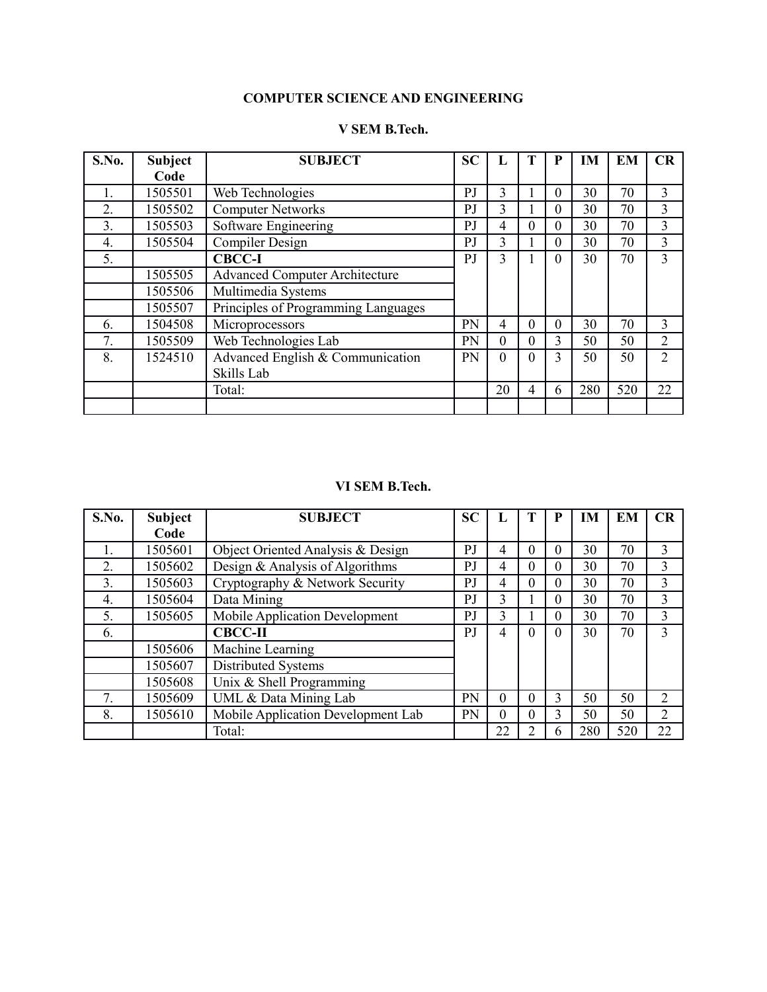#### **COMPUTER SCIENCE AND ENGINEERING**

#### **V SEM B.Tech.**

| S.No.          | <b>Subject</b> | <b>SUBJECT</b>                        | <b>SC</b>      |                |          | P        | <b>IM</b> | EM  | CR             |
|----------------|----------------|---------------------------------------|----------------|----------------|----------|----------|-----------|-----|----------------|
|                | Code           |                                       |                |                |          |          |           |     |                |
|                | 1505501        | Web Technologies                      | PJ             | 3              |          | $\Omega$ | 30        | 70  | 3              |
| 2.             | 1505502        | <b>Computer Networks</b>              | PJ             | 3              |          | 0        | 30        | 70  | 3              |
| 3 <sub>1</sub> | 1505503        | Software Engineering                  | PJ             | 4              | $\Omega$ | $\Omega$ | 30        | 70  | 3              |
| 4.             | 1505504        | Compiler Design                       | PJ             | 3              |          | $\Omega$ | 30        | 70  | 3              |
| 5.             |                | <b>CBCC-I</b>                         | P <sub>J</sub> | 3              |          | $\Omega$ | 30        | 70  | 3              |
|                | 1505505        | <b>Advanced Computer Architecture</b> |                |                |          |          |           |     |                |
|                | 1505506        | Multimedia Systems                    |                |                |          |          |           |     |                |
|                | 1505507        | Principles of Programming Languages   |                |                |          |          |           |     |                |
| 6.             | 1504508        | Microprocessors                       | PN             | 4              | $\Omega$ | $\Omega$ | 30        | 70  | 3              |
| 7.             | 1505509        | Web Technologies Lab                  | PN             | $\overline{0}$ | $\Omega$ | 3        | 50        | 50  | $\overline{2}$ |
| 8.             | 1524510        | Advanced English & Communication      | PN             | $\mathbf{0}$   | $\Omega$ | 3        | 50        | 50  | $\overline{2}$ |
|                |                | Skills Lab                            |                |                |          |          |           |     |                |
|                |                | Total:                                |                | 20             | 4        | 6        | 280       | 520 | 22             |
|                |                |                                       |                |                |          |          |           |     |                |

#### **VI SEM B.Tech.**

| S.No. | <b>Subject</b> | <b>SUBJECT</b>                        | <b>SC</b> |          |          | P | <b>IM</b> | EM  | CR             |
|-------|----------------|---------------------------------------|-----------|----------|----------|---|-----------|-----|----------------|
|       | Code           |                                       |           |          |          |   |           |     |                |
|       | 1505601        | Object Oriented Analysis & Design     | PJ        | 4        | $\Omega$ | 0 | 30        | 70  | 3              |
| 2.    | 1505602        | Design & Analysis of Algorithms       | PJ        | 4        | $\Omega$ | 0 | 30        | 70  | 3              |
| 3.    | 1505603        | Cryptography & Network Security       | PJ        | 4        | $\Omega$ | 0 | 30        | 70  | 3              |
| 4.    | 1505604        | Data Mining                           | PJ        | 3        |          | 0 | 30        | 70  | 3              |
| 5.    | 1505605        | <b>Mobile Application Development</b> | PJ        | 3        |          | 0 | 30        | 70  | 3              |
| 6.    |                | <b>CBCC-II</b>                        | PJ        | 4        | $\Omega$ | 0 | 30        | 70  | 3              |
|       | 1505606        | Machine Learning                      |           |          |          |   |           |     |                |
|       | 1505607        | Distributed Systems                   |           |          |          |   |           |     |                |
|       | 1505608        | Unix & Shell Programming              |           |          |          |   |           |     |                |
| 7.    | 1505609        | UML & Data Mining Lab                 | PN        | $\theta$ | $\Omega$ | 3 | 50        | 50  | $\overline{2}$ |
| 8.    | 1505610        | Mobile Application Development Lab    | PN        | 0        | $\Omega$ | 3 | 50        | 50  | $\overline{2}$ |
|       |                | Total:                                |           | 22       | 2        | 6 | 280       | 520 | 22             |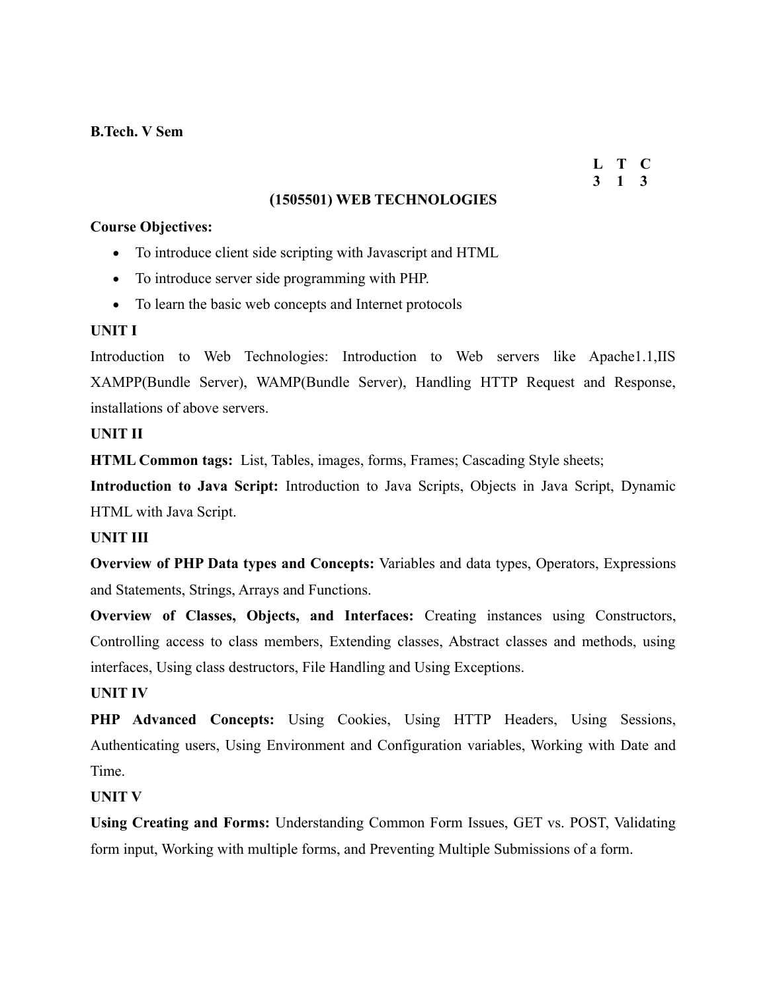#### **L T C 3 1 3**

#### **(1505501) WEB TECHNOLOGIES**

#### **Course Objectives:**

- To introduce client side scripting with Javascript and HTML
- To introduce server side programming with PHP.
- To learn the basic web concepts and Internet protocols

#### **UNIT I**

Introduction to Web Technologies: Introduction to Web servers like Apache1.1,IIS XAMPP(Bundle Server), WAMP(Bundle Server), Handling HTTP Request and Response, installations of above servers.

#### **UNIT II**

**HTML Common tags:** List, Tables, images, forms, Frames; Cascading Style sheets;

**Introduction to Java Script:** Introduction to Java Scripts, Objects in Java Script, Dynamic HTML with Java Script.

#### **UNIT III**

**Overview of PHP Data types and Concepts:** Variables and data types, Operators, Expressions and Statements, Strings, Arrays and Functions.

**Overview of Classes, Objects, and Interfaces:** Creating instances using Constructors, Controlling access to class members, Extending classes, Abstract classes and methods, using interfaces, Using class destructors, File Handling and Using Exceptions.

#### **UNIT IV**

**PHP Advanced Concepts:** Using Cookies, Using HTTP Headers, Using Sessions, Authenticating users, Using Environment and Configuration variables, Working with Date and Time.

#### **UNIT V**

**Using Creating and Forms:** Understanding Common Form Issues, GET vs. POST, Validating form input, Working with multiple forms, and Preventing Multiple Submissions of a form.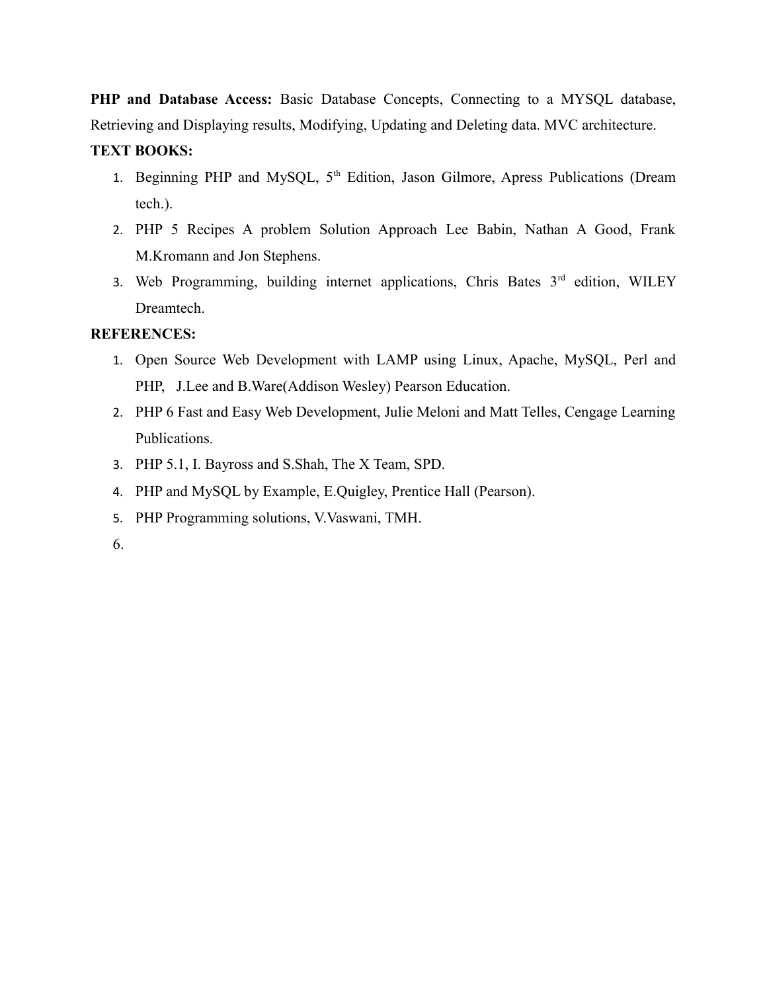**PHP and Database Access:** Basic Database Concepts, Connecting to a MYSQL database, Retrieving and Displaying results, Modifying, Updating and Deleting data. MVC architecture.

## **TEXT BOOKS:**

- 1. Beginning PHP and MySQL, 5<sup>th</sup> Edition, Jason Gilmore, Apress Publications (Dream tech.).
- 2. PHP 5 Recipes A problem Solution Approach Lee Babin, Nathan A Good, Frank M.Kromann and Jon Stephens.
- 3. Web Programming, building internet applications, Chris Bates  $3<sup>rd</sup>$  edition, WILEY Dreamtech.

## **REFERENCES:**

- 1. Open Source Web Development with LAMP using Linux, Apache, MySQL, Perl and PHP, J.Lee and B.Ware(Addison Wesley) Pearson Education.
- 2. PHP 6 Fast and Easy Web Development, Julie Meloni and Matt Telles, Cengage Learning Publications.
- 3. PHP 5.1, I. Bayross and S.Shah, The X Team, SPD.
- 4. PHP and MySQL by Example, E.Quigley, Prentice Hall (Pearson).
- 5. PHP Programming solutions, V.Vaswani, TMH.
- 6.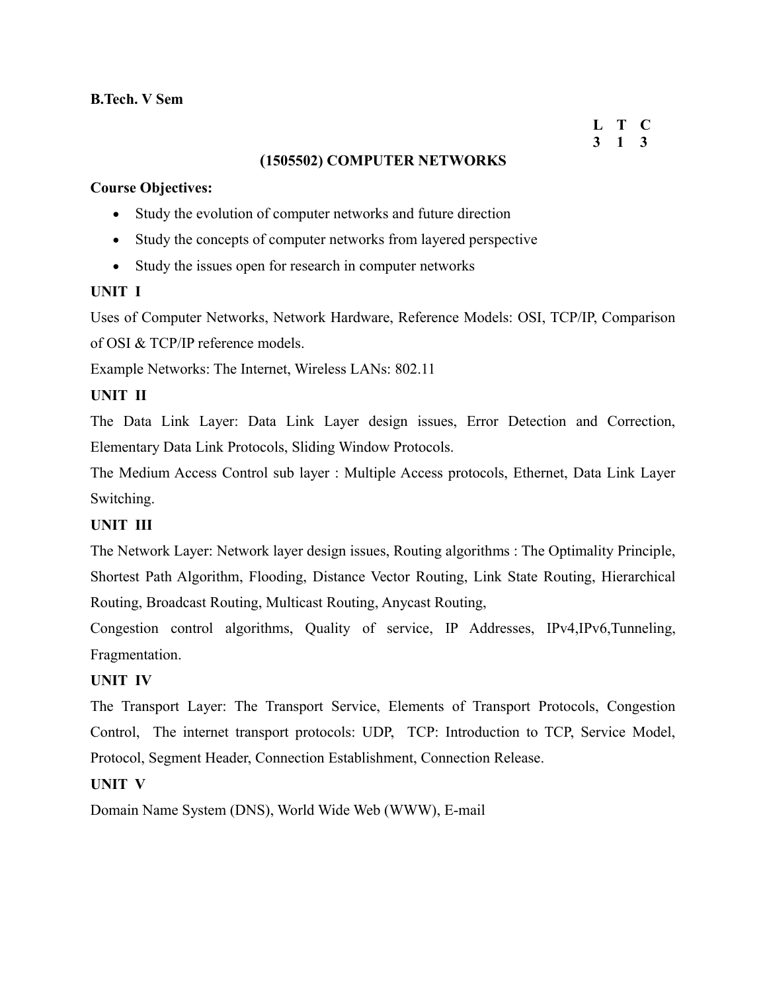#### **L T C 3 1 3**

## **(1505502) COMPUTER NETWORKS**

#### **Course Objectives:**

- Study the evolution of computer networks and future direction
- Study the concepts of computer networks from layered perspective
- Study the issues open for research in computer networks

## **UNIT I**

Uses of Computer Networks, Network Hardware, Reference Models: OSI, TCP/IP, Comparison of OSI & TCP/IP reference models.

Example Networks: The Internet, Wireless LANs: 802.11

## **UNIT II**

The Data Link Layer: Data Link Layer design issues, Error Detection and Correction, Elementary Data Link Protocols, Sliding Window Protocols.

The Medium Access Control sub layer : Multiple Access protocols, Ethernet, Data Link Layer Switching.

## **UNIT III**

The Network Layer: Network layer design issues, Routing algorithms : The Optimality Principle, Shortest Path Algorithm, Flooding, Distance Vector Routing, Link State Routing, Hierarchical Routing, Broadcast Routing, Multicast Routing, Anycast Routing,

Congestion control algorithms, Quality of service, IP Addresses, IPv4,IPv6,Tunneling, Fragmentation.

## **UNIT IV**

The Transport Layer: The Transport Service, Elements of Transport Protocols, Congestion Control, The internet transport protocols: UDP, TCP: Introduction to TCP, Service Model, Protocol, Segment Header, Connection Establishment, Connection Release.

## **UNIT V**

Domain Name System (DNS), World Wide Web (WWW), E-mail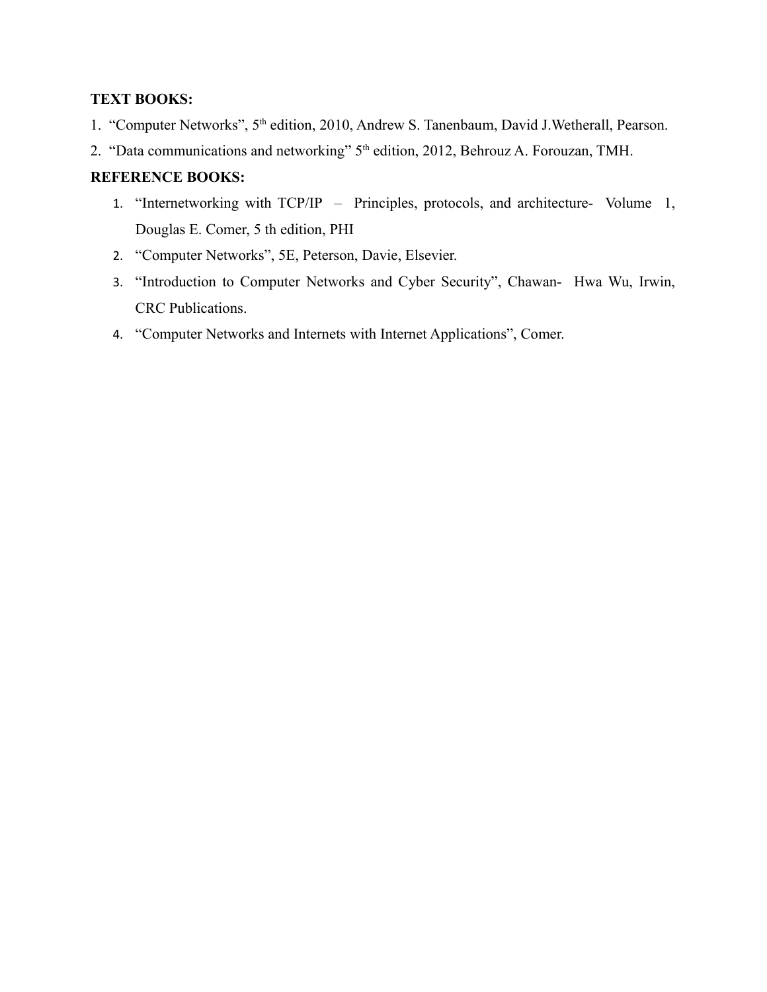## **TEXT BOOKS:**

- 1. "Computer Networks", 5<sup>th</sup> edition, 2010, Andrew S. Tanenbaum, David J.Wetherall, Pearson.
- 2. "Data communications and networking" 5<sup>th</sup> edition, 2012, Behrouz A. Forouzan, TMH.

## **REFERENCE BOOKS:**

- 1. "Internetworking with TCP/IP Principles, protocols, and architecture- Volume 1, Douglas E. Comer, 5 th edition, PHI
- 2. "Computer Networks", 5E, Peterson, Davie, Elsevier.
- 3. "Introduction to Computer Networks and Cyber Security", Chawan- Hwa Wu, Irwin, CRC Publications.
- 4. "Computer Networks and Internets with Internet Applications", Comer.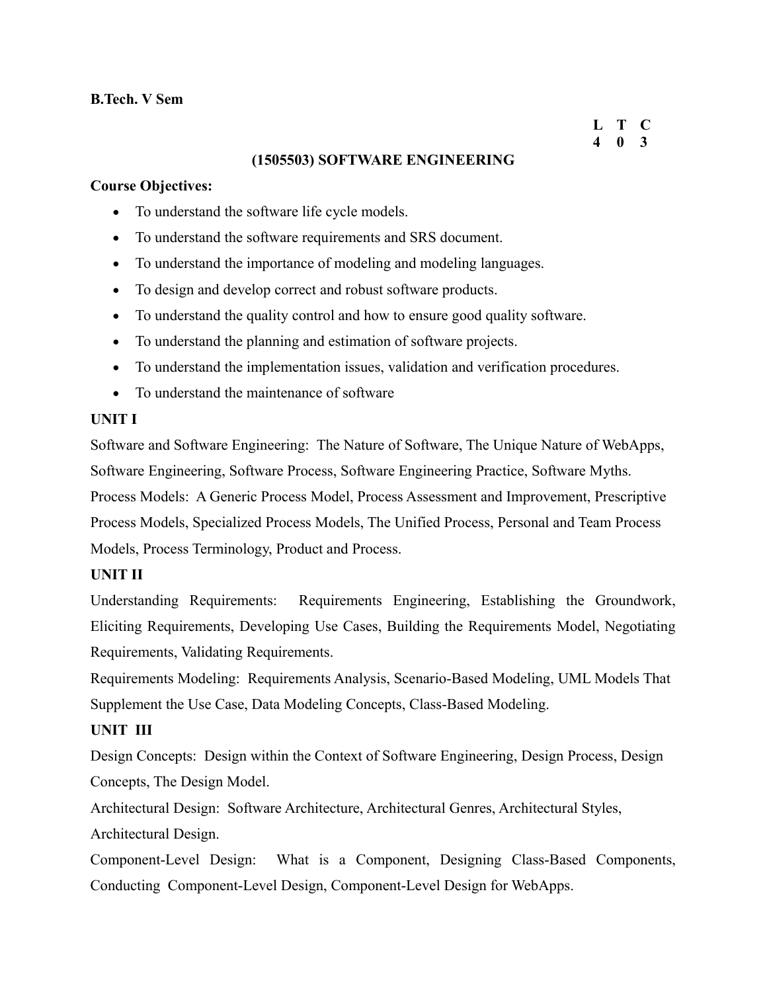## **B.Tech. V Sem**

#### **L T C 4 0 3**

## **(1505503) SOFTWARE ENGINEERING**

#### **Course Objectives:**

- To understand the software life cycle models.
- To understand the software requirements and SRS document.
- To understand the importance of modeling and modeling languages.
- To design and develop correct and robust software products.
- To understand the quality control and how to ensure good quality software.
- To understand the planning and estimation of software projects.
- To understand the implementation issues, validation and verification procedures.
- To understand the maintenance of software

## **UNIT I**

Software and Software Engineering: The Nature of Software, The Unique Nature of WebApps, Software Engineering, Software Process, Software Engineering Practice, Software Myths. Process Models: A Generic Process Model, Process Assessment and Improvement, Prescriptive Process Models, Specialized Process Models, The Unified Process, Personal and Team Process Models, Process Terminology, Product and Process.

## **UNIT II**

Understanding Requirements: Requirements Engineering, Establishing the Groundwork, Eliciting Requirements, Developing Use Cases, Building the Requirements Model, Negotiating Requirements, Validating Requirements.

Requirements Modeling: Requirements Analysis, Scenario-Based Modeling, UML Models That Supplement the Use Case, Data Modeling Concepts, Class-Based Modeling.

## **UNIT III**

Design Concepts: Design within the Context of Software Engineering, Design Process, Design Concepts, The Design Model.

Architectural Design: Software Architecture, Architectural Genres, Architectural Styles, Architectural Design.

Component-Level Design: What is a Component, Designing Class-Based Components, Conducting Component-Level Design, Component-Level Design for WebApps.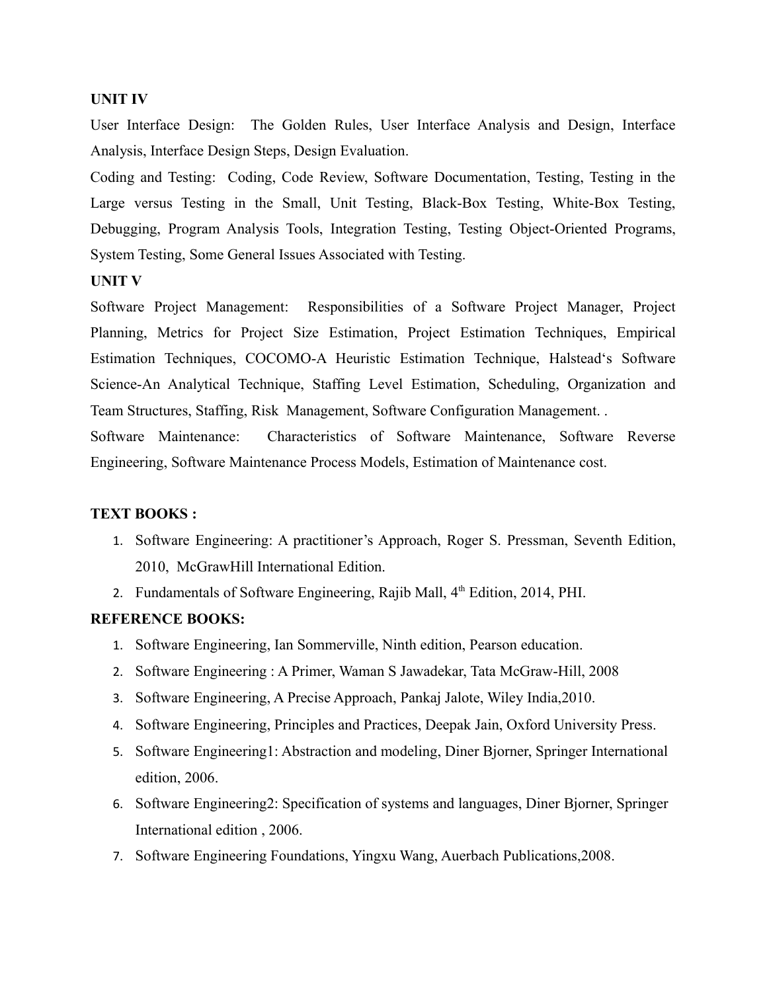#### **UNIT IV**

User Interface Design: The Golden Rules, User Interface Analysis and Design, Interface Analysis, Interface Design Steps, Design Evaluation.

Coding and Testing: Coding, Code Review, Software Documentation, Testing, Testing in the Large versus Testing in the Small, Unit Testing, Black-Box Testing, White-Box Testing, Debugging, Program Analysis Tools, Integration Testing, Testing Object-Oriented Programs, System Testing, Some General Issues Associated with Testing.

**UNIT V**

Software Project Management: Responsibilities of a Software Project Manager, Project Planning, Metrics for Project Size Estimation, Project Estimation Techniques, Empirical Estimation Techniques, COCOMO-A Heuristic Estimation Technique, Halstead's Software Science-An Analytical Technique, Staffing Level Estimation, Scheduling, Organization and Team Structures, Staffing, Risk Management, Software Configuration Management. .

Software Maintenance: Characteristics of Software Maintenance, Software Reverse Engineering, Software Maintenance Process Models, Estimation of Maintenance cost.

#### **TEXT BOOKS :**

- 1. Software Engineering: A practitioner's Approach, Roger S. Pressman, Seventh Edition, 2010, McGrawHill International Edition.
- 2. Fundamentals of Software Engineering, Rajib Mall, 4<sup>th</sup> Edition, 2014, PHI.

#### **REFERENCE BOOKS:**

- 1. Software Engineering, Ian Sommerville, Ninth edition, Pearson education.
- 2. Software Engineering : A Primer, Waman S Jawadekar, Tata McGraw-Hill, 2008
- 3. Software Engineering, A Precise Approach, Pankaj Jalote, Wiley India,2010.
- 4. Software Engineering, Principles and Practices, Deepak Jain, Oxford University Press.
- 5. Software Engineering1: Abstraction and modeling, Diner Bjorner, Springer International edition, 2006.
- 6. Software Engineering2: Specification of systems and languages, Diner Bjorner, Springer International edition , 2006.
- 7. Software Engineering Foundations, Yingxu Wang, Auerbach Publications,2008.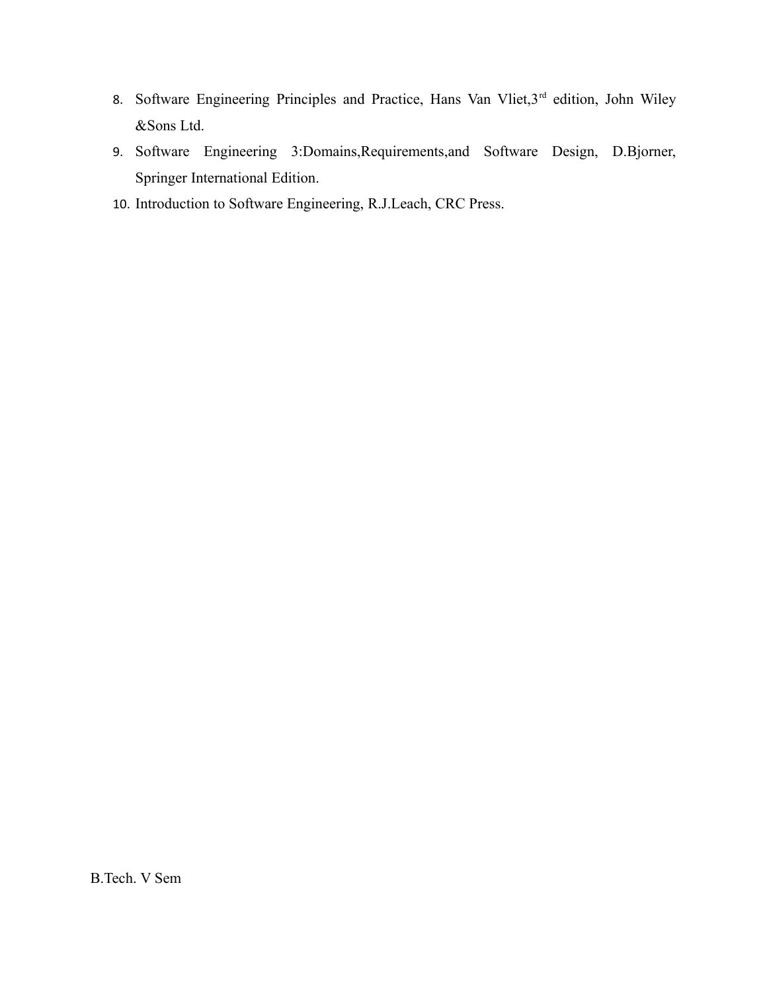- 8. Software Engineering Principles and Practice, Hans Van Vliet, 3rd edition, John Wiley &Sons Ltd.
- 9. Software Engineering 3:Domains,Requirements,and Software Design, D.Bjorner, Springer International Edition.
- 10. Introduction to Software Engineering, R.J.Leach, CRC Press.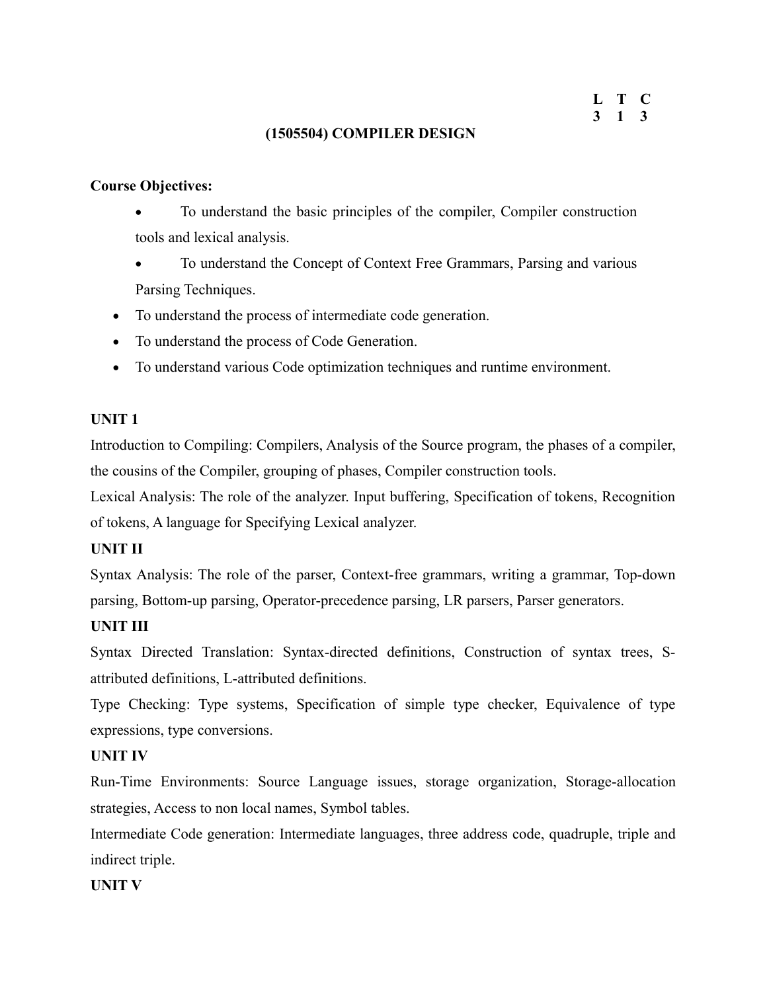## **(1505504) COMPILER DESIGN**

## **Course Objectives:**

- To understand the basic principles of the compiler, Compiler construction tools and lexical analysis.
- To understand the Concept of Context Free Grammars, Parsing and various Parsing Techniques.
- To understand the process of intermediate code generation.
- To understand the process of Code Generation.
- To understand various Code optimization techniques and runtime environment.

## **UNIT 1**

Introduction to Compiling: Compilers, Analysis of the Source program, the phases of a compiler, the cousins of the Compiler, grouping of phases, Compiler construction tools.

Lexical Analysis: The role of the analyzer. Input buffering, Specification of tokens, Recognition of tokens, A language for Specifying Lexical analyzer.

## **UNIT II**

Syntax Analysis: The role of the parser, Context-free grammars, writing a grammar, Top-down parsing, Bottom-up parsing, Operator-precedence parsing, LR parsers, Parser generators.

## **UNIT III**

Syntax Directed Translation: Syntax-directed definitions, Construction of syntax trees, Sattributed definitions, L-attributed definitions.

Type Checking: Type systems, Specification of simple type checker, Equivalence of type expressions, type conversions.

## **UNIT IV**

Run-Time Environments: Source Language issues, storage organization, Storage-allocation strategies, Access to non local names, Symbol tables.

Intermediate Code generation: Intermediate languages, three address code, quadruple, triple and indirect triple.

## **UNIT V**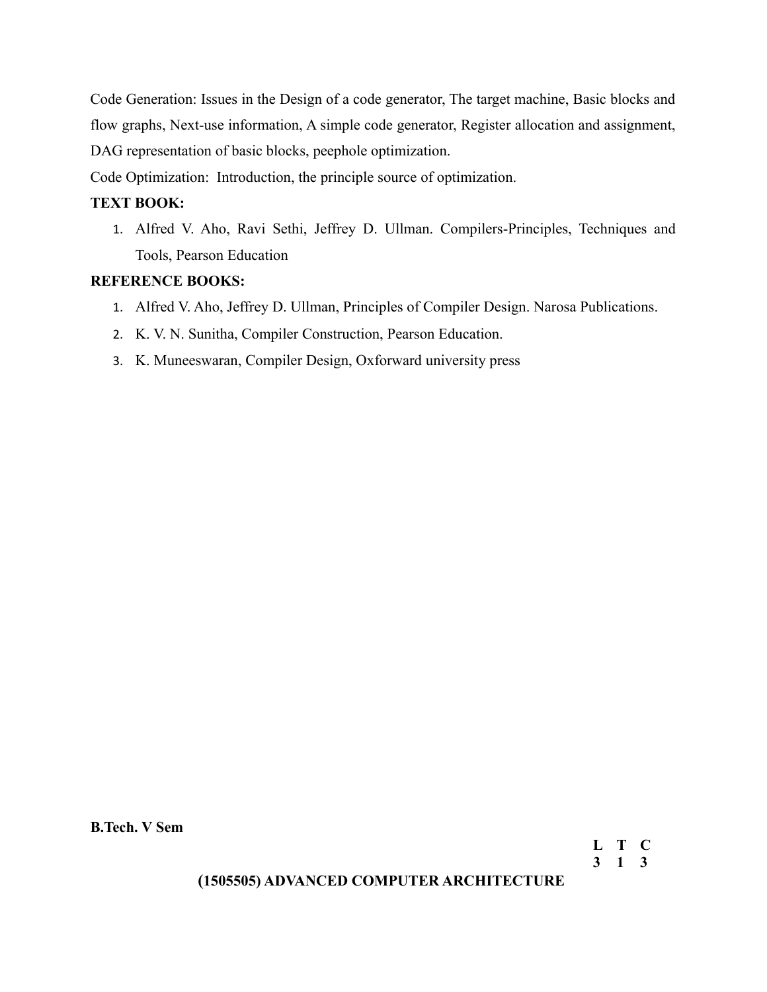Code Generation: Issues in the Design of a code generator, The target machine, Basic blocks and flow graphs, Next-use information, A simple code generator, Register allocation and assignment, DAG representation of basic blocks, peephole optimization.

Code Optimization: Introduction, the principle source of optimization.

## **TEXT BOOK:**

1. Alfred V. Aho, Ravi Sethi, Jeffrey D. Ullman. Compilers-Principles, Techniques and Tools, Pearson Education

## **REFERENCE BOOKS:**

- 1. Alfred V. Aho, Jeffrey D. Ullman, Principles of Compiler Design. Narosa Publications.
- 2. K. V. N. Sunitha, Compiler Construction, Pearson Education.
- 3. K. Muneeswaran, Compiler Design, Oxforward university press

**B.Tech. V Sem**

**(1505505) ADVANCED COMPUTER ARCHITECTURE**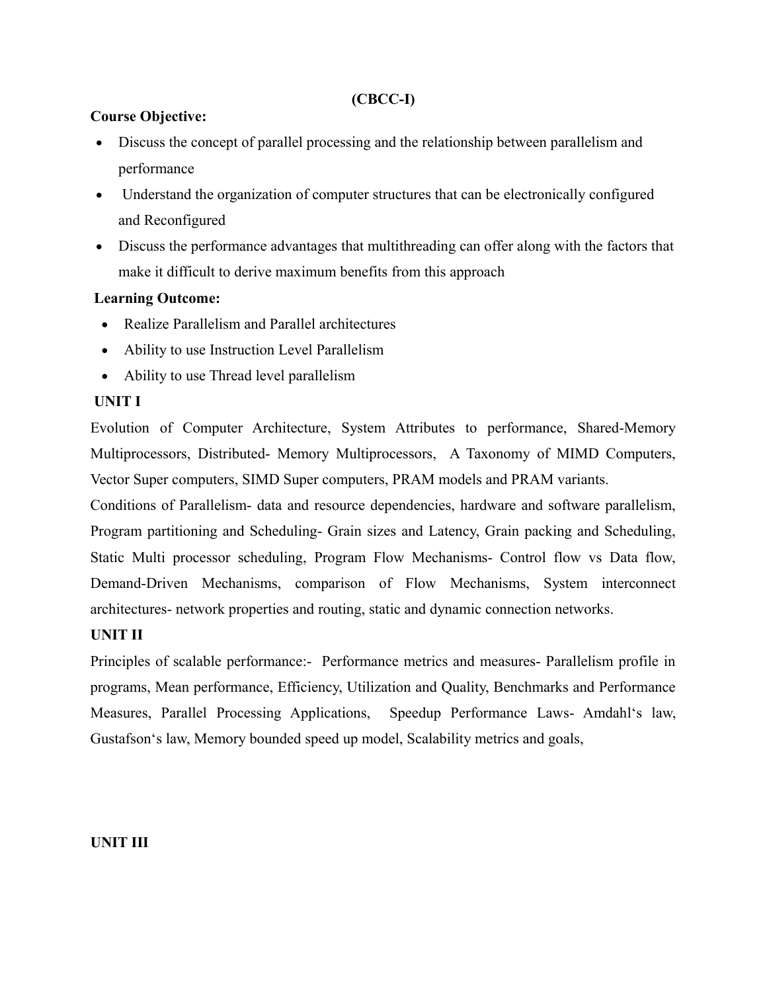## **(CBCC-I)**

## **Course Objective:**

- Discuss the concept of parallel processing and the relationship between parallelism and performance
- Understand the organization of computer structures that can be electronically configured and Reconfigured
- Discuss the performance advantages that multithreading can offer along with the factors that make it difficult to derive maximum benefits from this approach

## **Learning Outcome:**

- Realize Parallelism and Parallel architectures
- Ability to use Instruction Level Parallelism
- Ability to use Thread level parallelism

## **UNIT I**

Evolution of Computer Architecture, System Attributes to performance, Shared-Memory Multiprocessors, Distributed- Memory Multiprocessors, A Taxonomy of MIMD Computers, Vector Super computers, SIMD Super computers, PRAM models and PRAM variants.

Conditions of Parallelism- data and resource dependencies, hardware and software parallelism, Program partitioning and Scheduling- Grain sizes and Latency, Grain packing and Scheduling, Static Multi processor scheduling, Program Flow Mechanisms- Control flow vs Data flow, Demand-Driven Mechanisms, comparison of Flow Mechanisms, System interconnect architectures- network properties and routing, static and dynamic connection networks.

## **UNIT II**

Principles of scalable performance:- Performance metrics and measures- Parallelism profile in programs, Mean performance, Efficiency, Utilization and Quality, Benchmarks and Performance Measures, Parallel Processing Applications, Speedup Performance Laws- Amdahl's law, Gustafson's law, Memory bounded speed up model, Scalability metrics and goals,

## **UNIT III**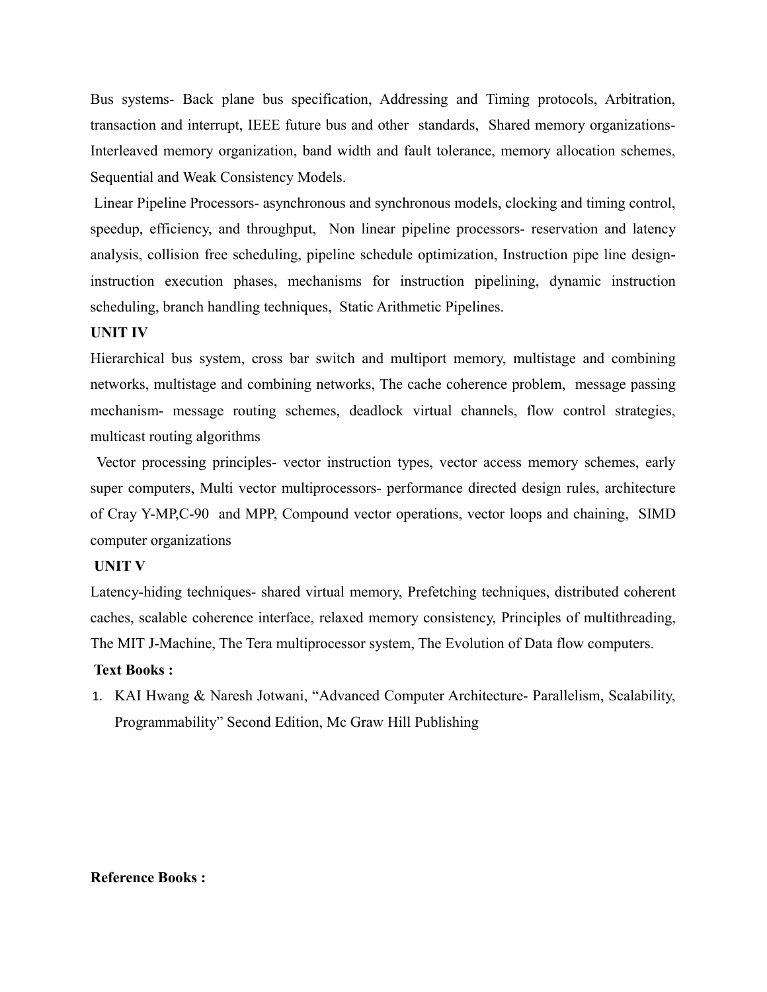Bus systems- Back plane bus specification, Addressing and Timing protocols, Arbitration, transaction and interrupt, IEEE future bus and other standards, Shared memory organizations-Interleaved memory organization, band width and fault tolerance, memory allocation schemes, Sequential and Weak Consistency Models.

 Linear Pipeline Processors- asynchronous and synchronous models, clocking and timing control, speedup, efficiency, and throughput, Non linear pipeline processors- reservation and latency analysis, collision free scheduling, pipeline schedule optimization, Instruction pipe line designinstruction execution phases, mechanisms for instruction pipelining, dynamic instruction scheduling, branch handling techniques, Static Arithmetic Pipelines.

#### **UNIT IV**

Hierarchical bus system, cross bar switch and multiport memory, multistage and combining networks, multistage and combining networks, The cache coherence problem, message passing mechanism- message routing schemes, deadlock virtual channels, flow control strategies, multicast routing algorithms

 Vector processing principles- vector instruction types, vector access memory schemes, early super computers, Multi vector multiprocessors- performance directed design rules, architecture of Cray Y-MP,C-90 and MPP, Compound vector operations, vector loops and chaining, SIMD computer organizations

#### **UNIT V**

Latency-hiding techniques- shared virtual memory, Prefetching techniques, distributed coherent caches, scalable coherence interface, relaxed memory consistency, Principles of multithreading, The MIT J-Machine, The Tera multiprocessor system, The Evolution of Data flow computers.

#### **Text Books :**

1. KAI Hwang & Naresh Jotwani, "Advanced Computer Architecture- Parallelism, Scalability, Programmability" Second Edition, Mc Graw Hill Publishing

#### **Reference Books :**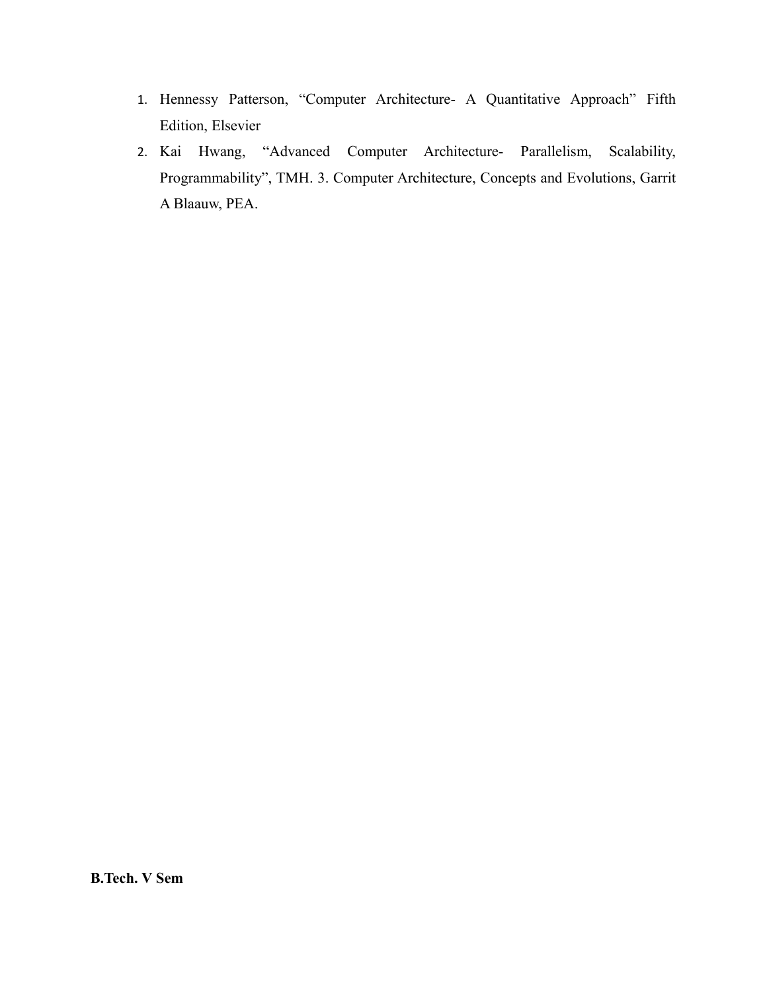- 1. Hennessy Patterson, "Computer Architecture- A Quantitative Approach" Fifth Edition, Elsevier
- 2. Kai Hwang, "Advanced Computer Architecture- Parallelism, Scalability, Programmability", TMH. 3. Computer Architecture, Concepts and Evolutions, Garrit A Blaauw, PEA.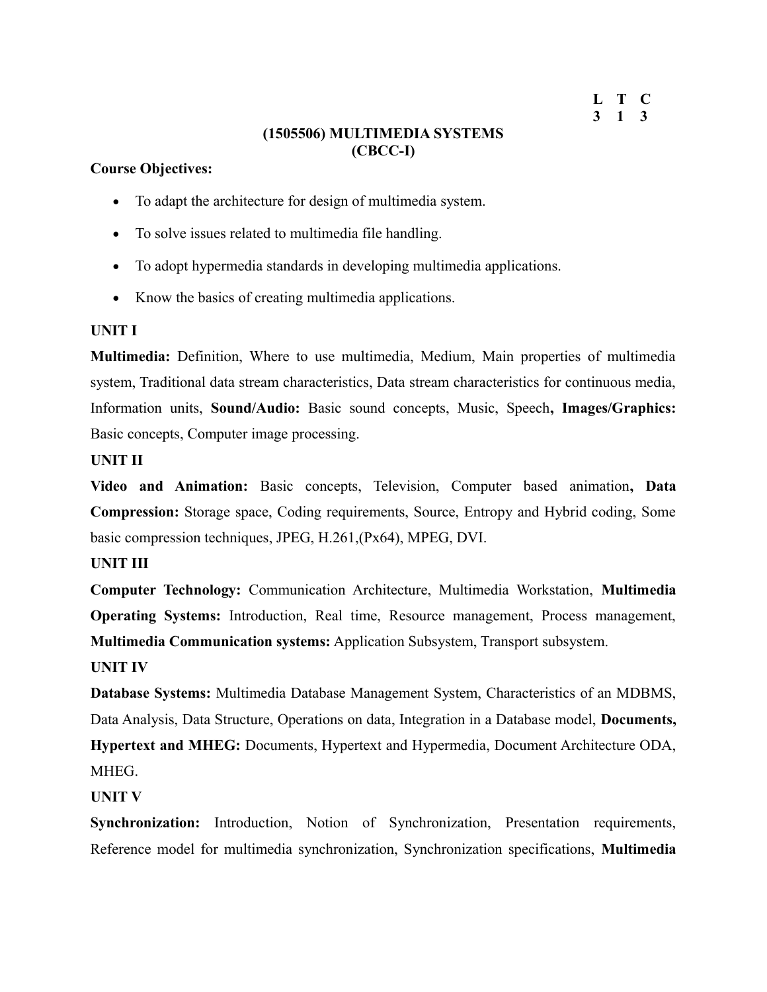```
L T C
3 1 3
```
## **(1505506) MULTIMEDIA SYSTEMS (CBCC-I)**

## **Course Objectives:**

- To adapt the architecture for design of multimedia system.
- To solve issues related to multimedia file handling.
- To adopt hypermedia standards in developing multimedia applications.
- Know the basics of creating multimedia applications.

## **UNIT I**

**Multimedia:** Definition, Where to use multimedia, Medium, Main properties of multimedia system, Traditional data stream characteristics, Data stream characteristics for continuous media, Information units, **Sound/Audio:** Basic sound concepts, Music, Speech**, Images/Graphics:** Basic concepts, Computer image processing.

## **UNIT II**

**Video and Animation:** Basic concepts, Television, Computer based animation**, Data Compression:** Storage space, Coding requirements, Source, Entropy and Hybrid coding, Some basic compression techniques, JPEG, H.261,(Px64), MPEG, DVI.

## **UNIT III**

**Computer Technology:** Communication Architecture, Multimedia Workstation, **Multimedia Operating Systems:** Introduction, Real time, Resource management, Process management, **Multimedia Communication systems:** Application Subsystem, Transport subsystem.

## **UNIT IV**

**Database Systems:** Multimedia Database Management System, Characteristics of an MDBMS, Data Analysis, Data Structure, Operations on data, Integration in a Database model, **Documents, Hypertext and MHEG:** Documents, Hypertext and Hypermedia, Document Architecture ODA, **MHEG** 

## **UNIT V**

**Synchronization:** Introduction, Notion of Synchronization, Presentation requirements, Reference model for multimedia synchronization, Synchronization specifications, **Multimedia**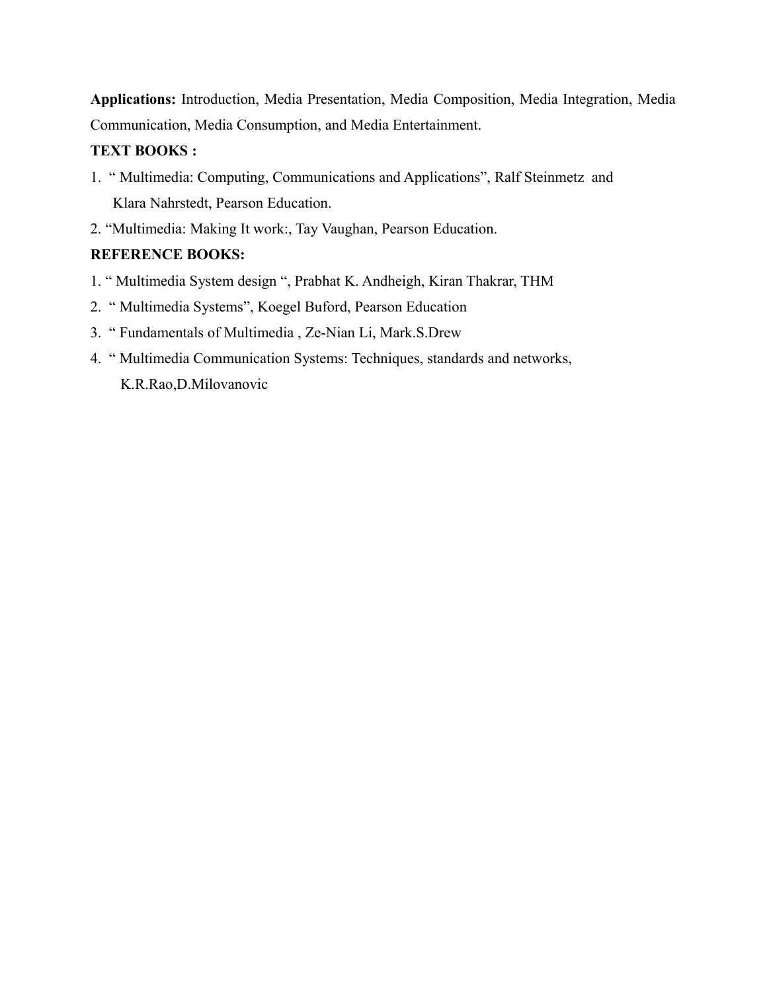**Applications:** Introduction, Media Presentation, Media Composition, Media Integration, Media Communication, Media Consumption, and Media Entertainment.

## **TEXT BOOKS :**

- 1. " Multimedia: Computing, Communications and Applications", Ralf Steinmetz and Klara Nahrstedt, Pearson Education.
- 2. "Multimedia: Making It work:, Tay Vaughan, Pearson Education.

## **REFERENCE BOOKS:**

- 1. " Multimedia System design ", Prabhat K. Andheigh, Kiran Thakrar, THM
- 2. " Multimedia Systems", Koegel Buford, Pearson Education
- 3. " Fundamentals of Multimedia , Ze-Nian Li, Mark.S.Drew
- 4. " Multimedia Communication Systems: Techniques, standards and networks, K.R.Rao,D.Milovanovic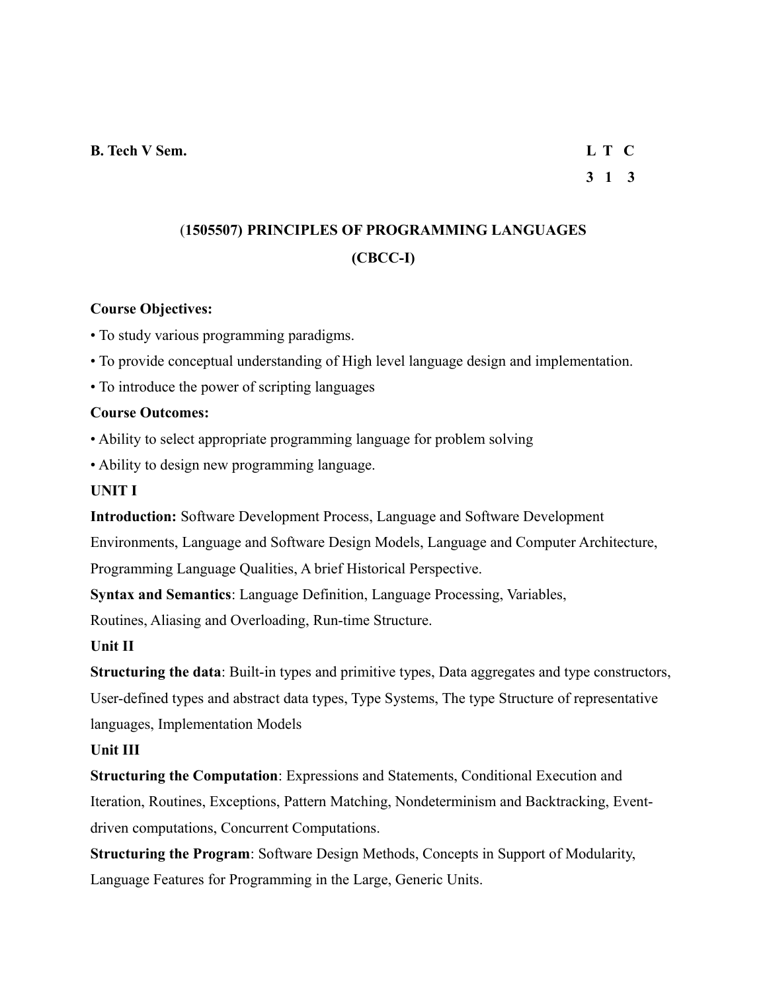# **3 1 3**

# (**1505507) PRINCIPLES OF PROGRAMMING LANGUAGES (CBCC-I)**

## **Course Objectives:**

• To study various programming paradigms.

• To provide conceptual understanding of High level language design and implementation.

• To introduce the power of scripting languages

## **Course Outcomes:**

• Ability to select appropriate programming language for problem solving

• Ability to design new programming language.

#### **UNIT I**

**Introduction:** Software Development Process, Language and Software Development Environments, Language and Software Design Models, Language and Computer Architecture,

Programming Language Qualities, A brief Historical Perspective.

**Syntax and Semantics**: Language Definition, Language Processing, Variables,

Routines, Aliasing and Overloading, Run-time Structure.

#### **Unit II**

**Structuring the data**: Built-in types and primitive types, Data aggregates and type constructors, User-defined types and abstract data types, Type Systems, The type Structure of representative languages, Implementation Models

#### **Unit III**

**Structuring the Computation**: Expressions and Statements, Conditional Execution and Iteration, Routines, Exceptions, Pattern Matching, Nondeterminism and Backtracking, Eventdriven computations, Concurrent Computations.

**Structuring the Program**: Software Design Methods, Concepts in Support of Modularity, Language Features for Programming in the Large, Generic Units.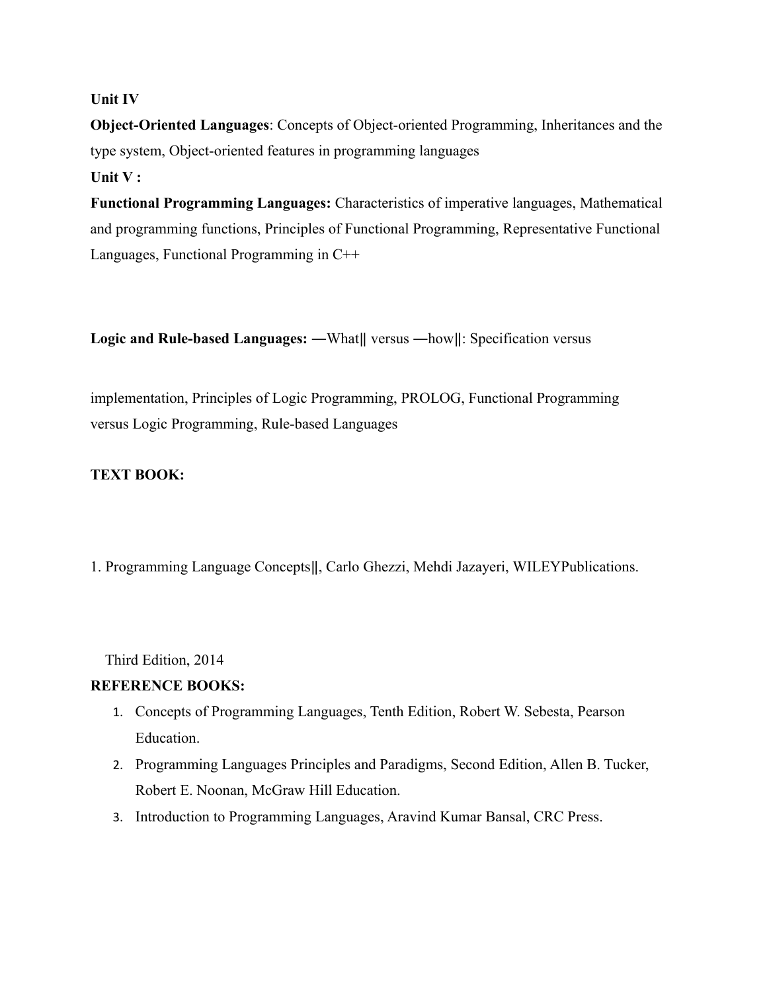#### **Unit IV**

**Object-Oriented Languages**: Concepts of Object-oriented Programming, Inheritances and the type system, Object-oriented features in programming languages **Unit V :**

**Functional Programming Languages:** Characteristics of imperative languages, Mathematical and programming functions, Principles of Functional Programming, Representative Functional Languages, Functional Programming in C++

**Logic and Rule-based Languages:** —What|| versus —how||: Specification versus

implementation, Principles of Logic Programming, PROLOG, Functional Programming versus Logic Programming, Rule-based Languages

## **TEXT BOOK:**

1. Programming Language Concepts‖, Carlo Ghezzi, Mehdi Jazayeri, WILEYPublications.

Third Edition, 2014

#### **REFERENCE BOOKS:**

- 1. Concepts of Programming Languages, Tenth Edition, Robert W. Sebesta, Pearson Education.
- 2. Programming Languages Principles and Paradigms, Second Edition, Allen B. Tucker, Robert E. Noonan, McGraw Hill Education.
- 3. Introduction to Programming Languages, Aravind Kumar Bansal, CRC Press.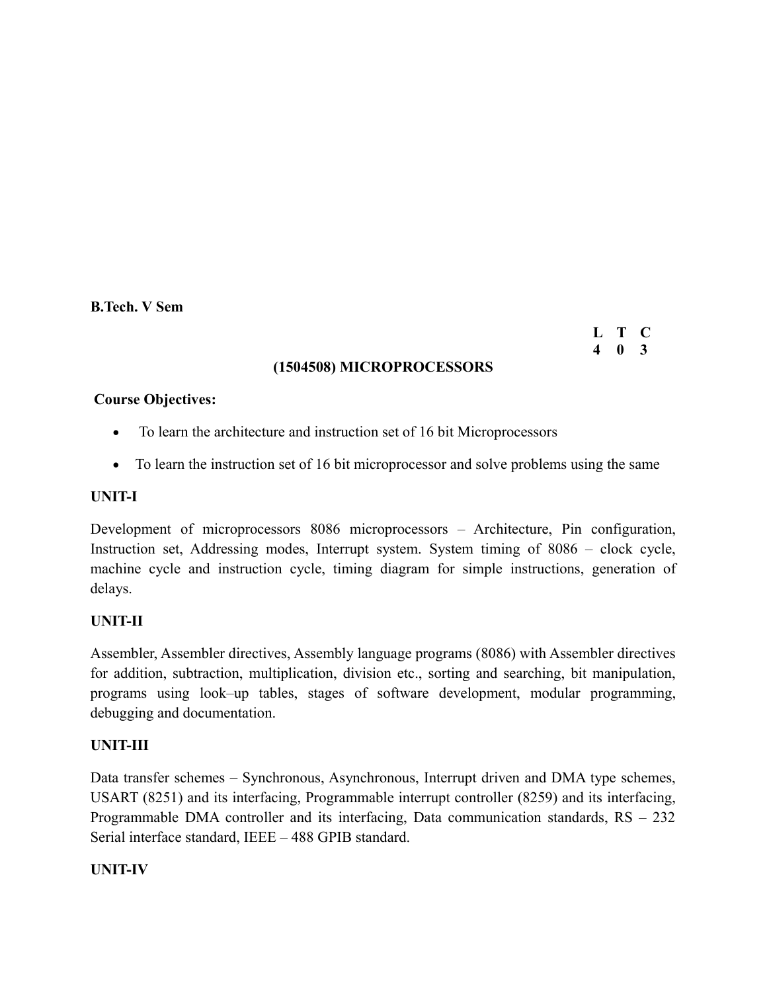#### **B.Tech. V Sem**

## **(1504508) MICROPROCESSORS**

**L T C 4 0 3**

#### **Course Objectives:**

- To learn the architecture and instruction set of 16 bit Microprocessors
- To learn the instruction set of 16 bit microprocessor and solve problems using the same

#### **UNIT-I**

Development of microprocessors 8086 microprocessors – Architecture, Pin configuration, Instruction set, Addressing modes, Interrupt system. System timing of 8086 – clock cycle, machine cycle and instruction cycle, timing diagram for simple instructions, generation of delays.

#### **UNIT-II**

Assembler, Assembler directives, Assembly language programs (8086) with Assembler directives for addition, subtraction, multiplication, division etc., sorting and searching, bit manipulation, programs using look–up tables, stages of software development, modular programming, debugging and documentation.

#### **UNIT-III**

Data transfer schemes – Synchronous, Asynchronous, Interrupt driven and DMA type schemes, USART (8251) and its interfacing, Programmable interrupt controller (8259) and its interfacing, Programmable DMA controller and its interfacing, Data communication standards, RS – 232 Serial interface standard, IEEE – 488 GPIB standard.

#### **UNIT-IV**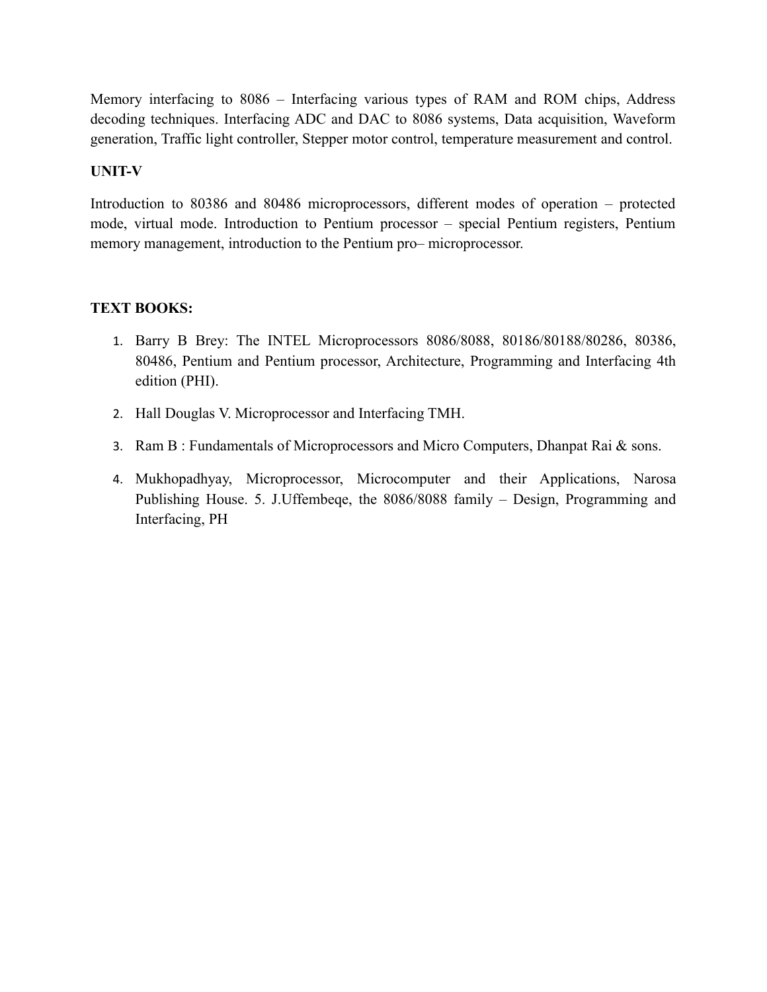Memory interfacing to 8086 – Interfacing various types of RAM and ROM chips, Address decoding techniques. Interfacing ADC and DAC to 8086 systems, Data acquisition, Waveform generation, Traffic light controller, Stepper motor control, temperature measurement and control.

## **UNIT-V**

Introduction to 80386 and 80486 microprocessors, different modes of operation – protected mode, virtual mode. Introduction to Pentium processor – special Pentium registers, Pentium memory management, introduction to the Pentium pro– microprocessor.

## **TEXT BOOKS:**

- 1. Barry B Brey: The INTEL Microprocessors 8086/8088, 80186/80188/80286, 80386, 80486, Pentium and Pentium processor, Architecture, Programming and Interfacing 4th edition (PHI).
- 2. Hall Douglas V. Microprocessor and Interfacing TMH.
- 3. Ram B : Fundamentals of Microprocessors and Micro Computers, Dhanpat Rai & sons.
- 4. Mukhopadhyay, Microprocessor, Microcomputer and their Applications, Narosa Publishing House. 5. J.Uffembeqe, the 8086/8088 family – Design, Programming and Interfacing, PH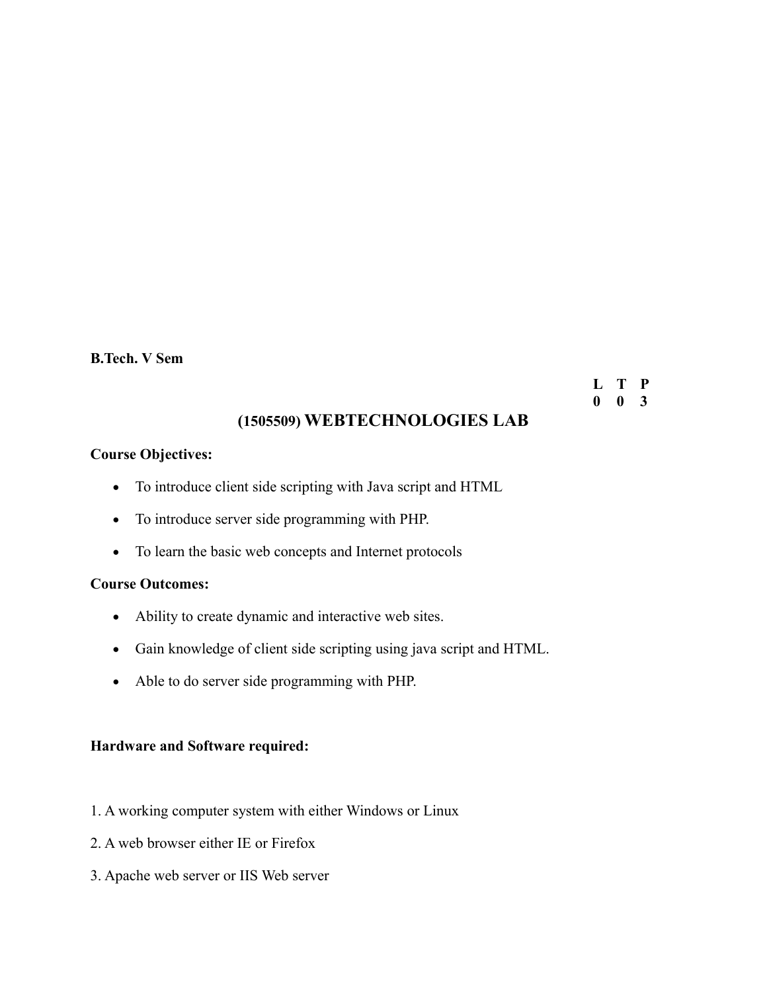#### **B.Tech. V Sem**

**L T P 0 0 3**

## **(1505509) WEBTECHNOLOGIES LAB**

#### **Course Objectives:**

- To introduce client side scripting with Java script and HTML
- To introduce server side programming with PHP.
- To learn the basic web concepts and Internet protocols

#### **Course Outcomes:**

- Ability to create dynamic and interactive web sites.
- Gain knowledge of client side scripting using java script and HTML.
- Able to do server side programming with PHP.

#### **Hardware and Software required:**

- 1. A working computer system with either Windows or Linux
- 2. A web browser either IE or Firefox
- 3. Apache web server or IIS Web server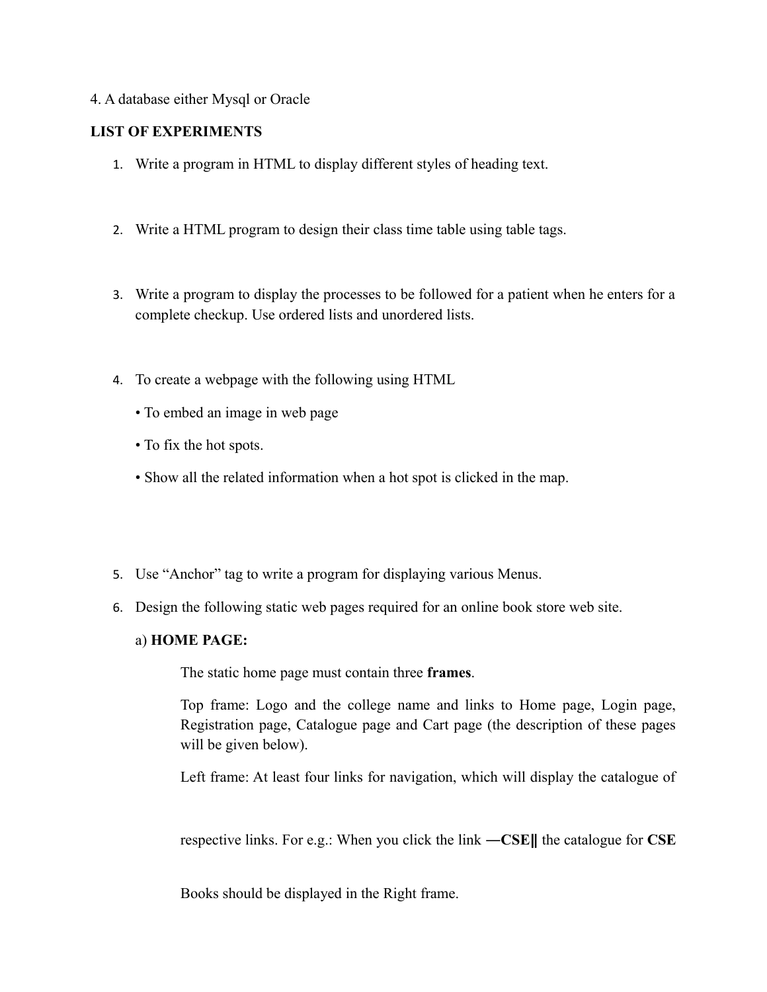#### 4. A database either Mysql or Oracle

#### **LIST OF EXPERIMENTS**

- 1. Write a program in HTML to display different styles of heading text.
- 2. Write a HTML program to design their class time table using table tags.
- 3. Write a program to display the processes to be followed for a patient when he enters for a complete checkup. Use ordered lists and unordered lists.
- 4. To create a webpage with the following using HTML
	- To embed an image in web page
	- To fix the hot spots.
	- Show all the related information when a hot spot is clicked in the map.
- 5. Use "Anchor" tag to write a program for displaying various Menus.
- 6. Design the following static web pages required for an online book store web site.

#### a) **HOME PAGE:**

The static home page must contain three **frames**.

Top frame: Logo and the college name and links to Home page, Login page, Registration page, Catalogue page and Cart page (the description of these pages will be given below).

Left frame: At least four links for navigation, which will display the catalogue of

respective links. For e.g.: When you click the link **―CSE**‖ the catalogue for **CSE**

Books should be displayed in the Right frame.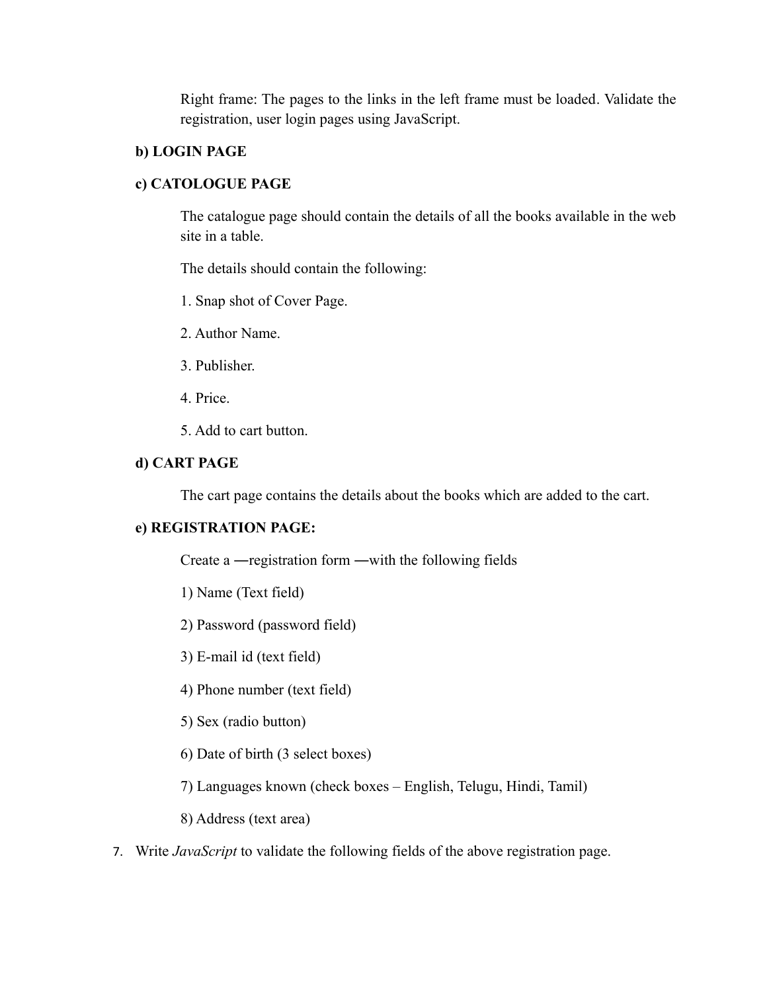Right frame: The pages to the links in the left frame must be loaded. Validate the registration, user login pages using JavaScript.

## **b) LOGIN PAGE**

## **c) CATOLOGUE PAGE**

The catalogue page should contain the details of all the books available in the web site in a table.

The details should contain the following:

- 1. Snap shot of Cover Page.
- 2. Author Name.
- 3. Publisher.
- 4. Price.
- 5. Add to cart button.

## **d) CART PAGE**

The cart page contains the details about the books which are added to the cart.

## **e) REGISTRATION PAGE:**

Create a ―registration form ―with the following fields

- 1) Name (Text field)
- 2) Password (password field)
- 3) E-mail id (text field)
- 4) Phone number (text field)
- 5) Sex (radio button)
- 6) Date of birth (3 select boxes)
- 7) Languages known (check boxes English, Telugu, Hindi, Tamil)
- 8) Address (text area)
- 7. Write *JavaScript* to validate the following fields of the above registration page.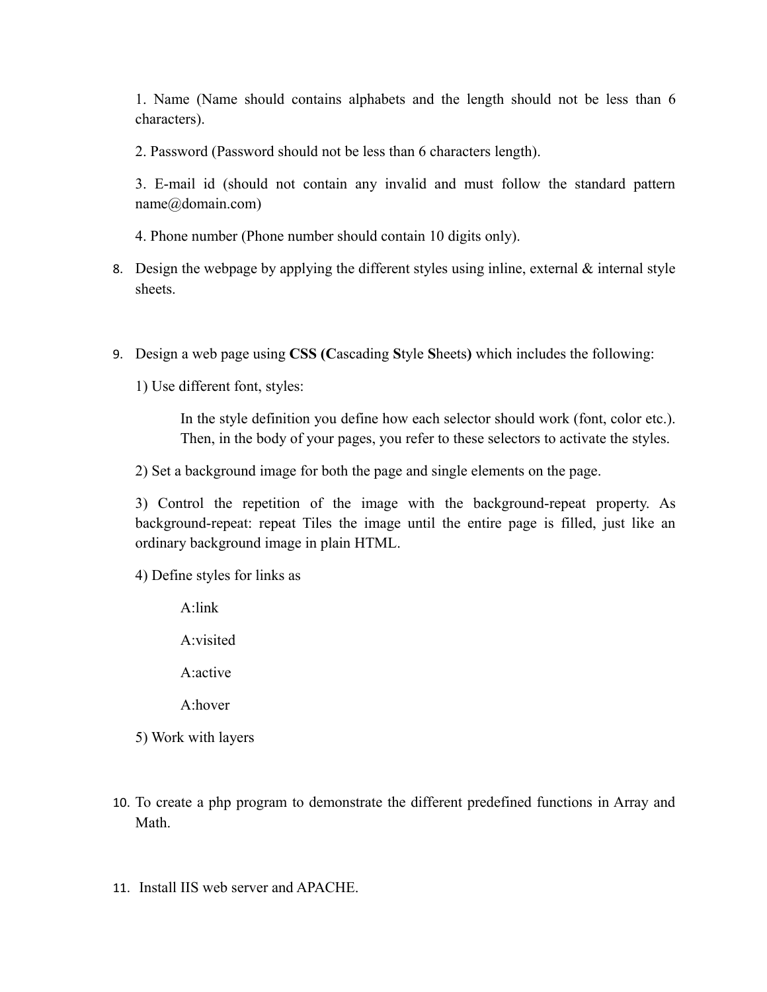1. Name (Name should contains alphabets and the length should not be less than 6 characters).

2. Password (Password should not be less than 6 characters length).

3. E-mail id (should not contain any invalid and must follow the standard pattern name@domain.com)

4. Phone number (Phone number should contain 10 digits only).

- 8. Design the webpage by applying the different styles using inline, external  $\&$  internal style sheets.
- 9. Design a web page using **CSS (C**ascading **S**tyle **S**heets**)** which includes the following:

1) Use different font, styles:

In the style definition you define how each selector should work (font, color etc.). Then, in the body of your pages, you refer to these selectors to activate the styles.

2) Set a background image for both the page and single elements on the page.

3) Control the repetition of the image with the background-repeat property. As background-repeat: repeat Tiles the image until the entire page is filled, just like an ordinary background image in plain HTML.

4) Define styles for links as

A:link

A:visited

A:active

A:hover

5) Work with layers

- 10. To create a php program to demonstrate the different predefined functions in Array and Math.
- 11. Install IIS web server and APACHE.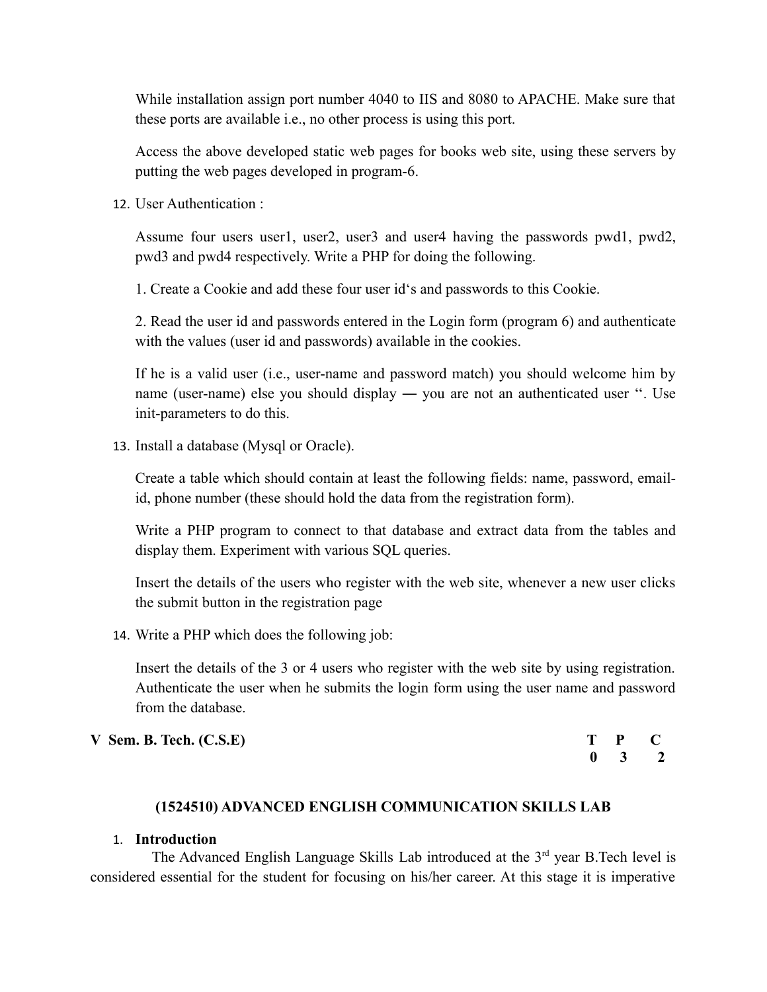While installation assign port number 4040 to IIS and 8080 to APACHE. Make sure that these ports are available i.e., no other process is using this port.

Access the above developed static web pages for books web site, using these servers by putting the web pages developed in program-6.

12. User Authentication :

Assume four users user1, user2, user3 and user4 having the passwords pwd1, pwd2, pwd3 and pwd4 respectively. Write a PHP for doing the following.

1. Create a Cookie and add these four user id's and passwords to this Cookie.

2. Read the user id and passwords entered in the Login form (program 6) and authenticate with the values (user id and passwords) available in the cookies.

If he is a valid user (i.e., user-name and password match) you should welcome him by name (user-name) else you should display ― you are not an authenticated user ''. Use init-parameters to do this.

13. Install a database (Mysql or Oracle).

Create a table which should contain at least the following fields: name, password, emailid, phone number (these should hold the data from the registration form).

Write a PHP program to connect to that database and extract data from the tables and display them. Experiment with various SQL queries.

Insert the details of the users who register with the web site, whenever a new user clicks the submit button in the registration page

14. Write a PHP which does the following job:

Insert the details of the 3 or 4 users who register with the web site by using registration. Authenticate the user when he submits the login form using the user name and password from the database.

| $V$ Sem. B. Tech. $(C.S.E)$ | T P C               |  |
|-----------------------------|---------------------|--|
|                             | $0 \quad 3 \quad 2$ |  |

#### **(1524510) ADVANCED ENGLISH COMMUNICATION SKILLS LAB**

#### 1. **Introduction**

The Advanced English Language Skills Lab introduced at the 3<sup>rd</sup> year B.Tech level is considered essential for the student for focusing on his/her career. At this stage it is imperative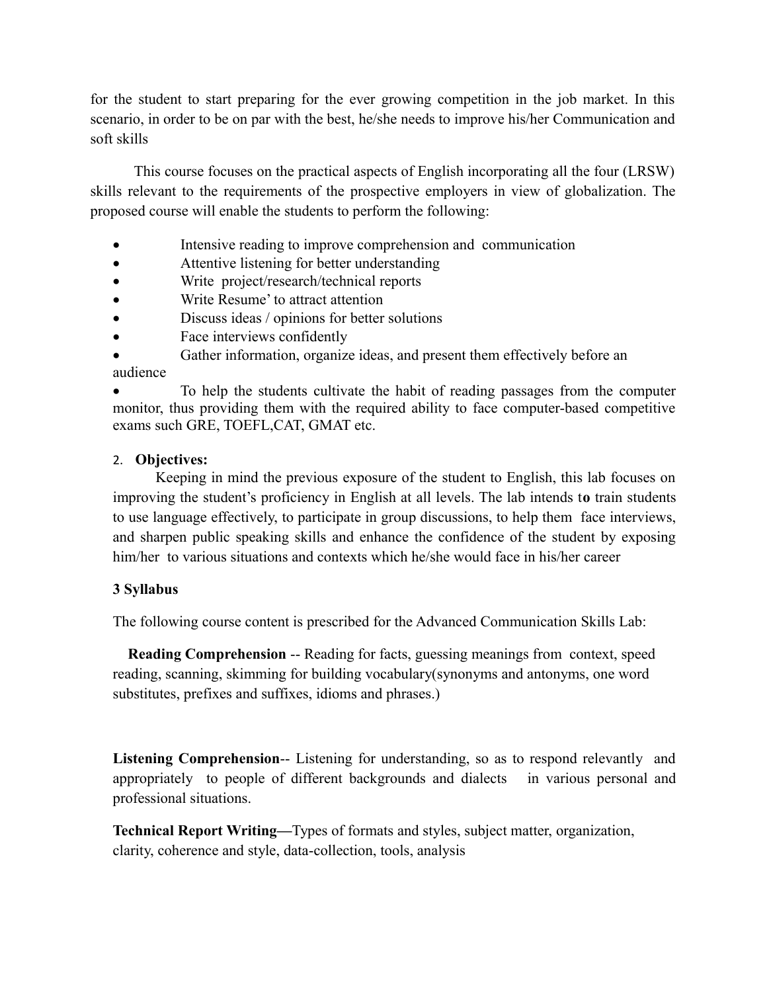for the student to start preparing for the ever growing competition in the job market. In this scenario, in order to be on par with the best, he/she needs to improve his/her Communication and soft skills

 This course focuses on the practical aspects of English incorporating all the four (LRSW) skills relevant to the requirements of the prospective employers in view of globalization. The proposed course will enable the students to perform the following:

- Intensive reading to improve comprehension and communication
- Attentive listening for better understanding
- Write project/research/technical reports
- Write Resume' to attract attention
- Discuss ideas / opinions for better solutions
- Face interviews confidently

 Gather information, organize ideas, and present them effectively before an audience

 To help the students cultivate the habit of reading passages from the computer monitor, thus providing them with the required ability to face computer-based competitive exams such GRE, TOEFL,CAT, GMAT etc.

## 2. **Objectives:**

 Keeping in mind the previous exposure of the student to English, this lab focuses on improving the student's proficiency in English at all levels. The lab intends t**o** train students to use language effectively, to participate in group discussions, to help them face interviews, and sharpen public speaking skills and enhance the confidence of the student by exposing him/her to various situations and contexts which he/she would face in his/her career

## **3 Syllabus**

The following course content is prescribed for the Advanced Communication Skills Lab:

 **Reading Comprehension** -- Reading for facts, guessing meanings from context, speed reading, scanning, skimming for building vocabulary(synonyms and antonyms, one word substitutes, prefixes and suffixes, idioms and phrases.)

**Listening Comprehension**-- Listening for understanding, so as to respond relevantly and appropriately to people of different backgrounds and dialects in various personal and professional situations.

**Technical Report Writing—**Types of formats and styles, subject matter, organization, clarity, coherence and style, data-collection, tools, analysis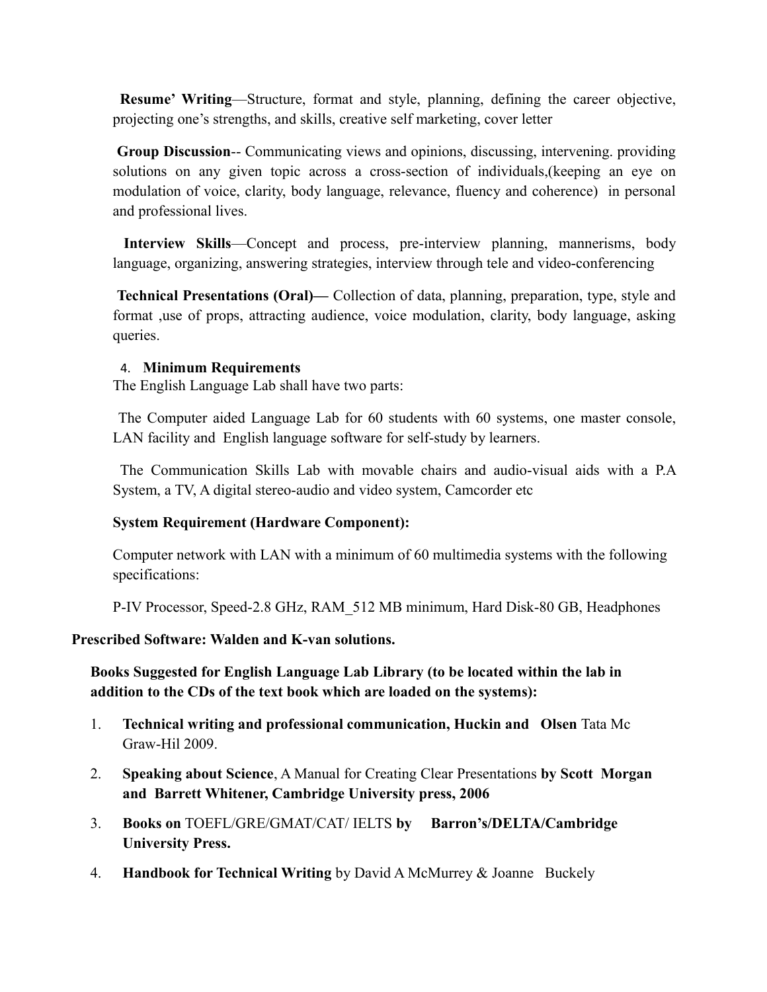**Resume' Writing**—Structure, format and style, planning, defining the career objective, projecting one's strengths, and skills, creative self marketing, cover letter

**Group Discussion**-- Communicating views and opinions, discussing, intervening. providing solutions on any given topic across a cross-section of individuals,(keeping an eye on modulation of voice, clarity, body language, relevance, fluency and coherence) in personal and professional lives.

 **Interview Skills**—Concept and process, pre-interview planning, mannerisms, body language, organizing, answering strategies, interview through tele and video-conferencing

 **Technical Presentations (Oral)—** Collection of data, planning, preparation, type, style and format ,use of props, attracting audience, voice modulation, clarity, body language, asking queries.

## 4. **Minimum Requirements**

The English Language Lab shall have two parts:

 The Computer aided Language Lab for 60 students with 60 systems, one master console, LAN facility and English language software for self-study by learners.

 The Communication Skills Lab with movable chairs and audio-visual aids with a P.A System, a TV, A digital stereo-audio and video system, Camcorder etc

## **System Requirement (Hardware Component):**

Computer network with LAN with a minimum of 60 multimedia systems with the following specifications:

P-IV Processor, Speed-2.8 GHz, RAM\_512 MB minimum, Hard Disk-80 GB, Headphones

#### **Prescribed Software: Walden and K-van solutions.**

**Books Suggested for English Language Lab Library (to be located within the lab in addition to the CDs of the text book which are loaded on the systems):**

- 1. **Technical writing and professional communication, Huckin and Olsen** Tata Mc Graw-Hil 2009.
- 2. **Speaking about Science**, A Manual for Creating Clear Presentations **by Scott Morgan and Barrett Whitener, Cambridge University press, 2006**
- 3. **Books on** TOEFL/GRE/GMAT/CAT/ IELTS **by Barron's/DELTA/Cambridge University Press.**
- 4. **Handbook for Technical Writing** by David A McMurrey & Joanne Buckely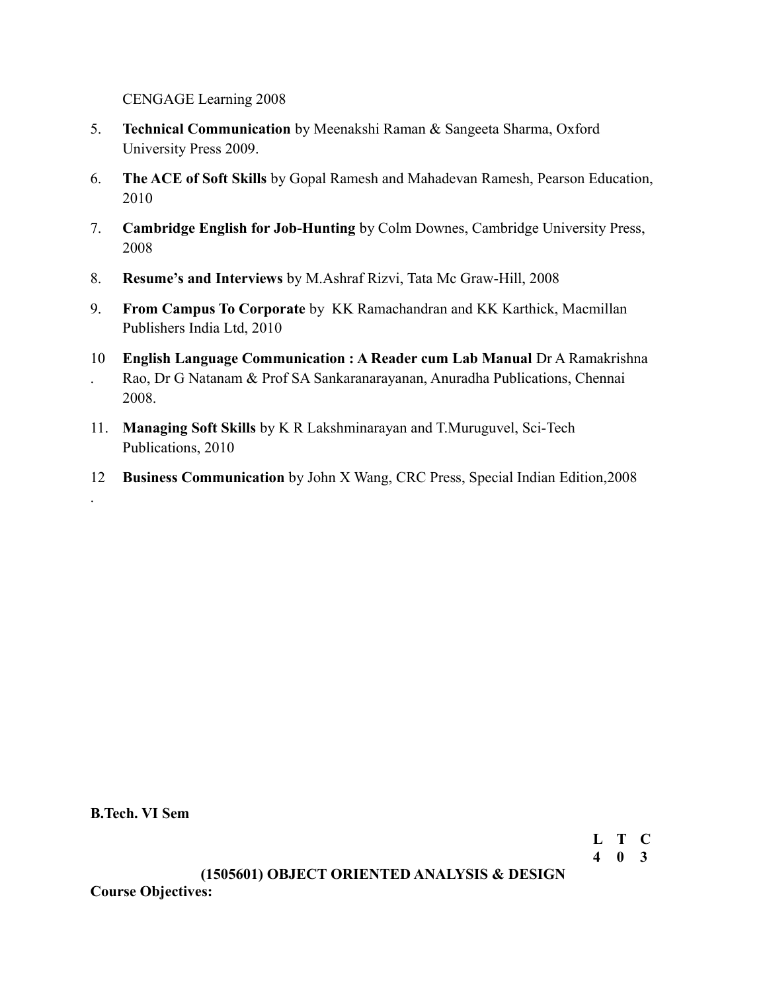CENGAGE Learning 2008

- 5. **Technical Communication** by Meenakshi Raman & Sangeeta Sharma, Oxford University Press 2009.
- 6. **The ACE of Soft Skills** by Gopal Ramesh and Mahadevan Ramesh, Pearson Education, 2010
- 7. **Cambridge English for Job-Hunting** by Colm Downes, Cambridge University Press, 2008
- 8. **Resume's and Interviews** by M.Ashraf Rizvi, Tata Mc Graw-Hill, 2008
- 9. **From Campus To Corporate** by KK Ramachandran and KK Karthick, Macmillan Publishers India Ltd, 2010
- 10 **English Language Communication : A Reader cum Lab Manual** Dr A Ramakrishna Rao, Dr G Natanam & Prof SA Sankaranarayanan, Anuradha Publications, Chennai 2008.
- 11. **Managing Soft Skills** by K R Lakshminarayan and T.Muruguvel, Sci-Tech Publications, 2010
- 12 **Business Communication** by John X Wang, CRC Press, Special Indian Edition,2008

**B.Tech. VI Sem**

.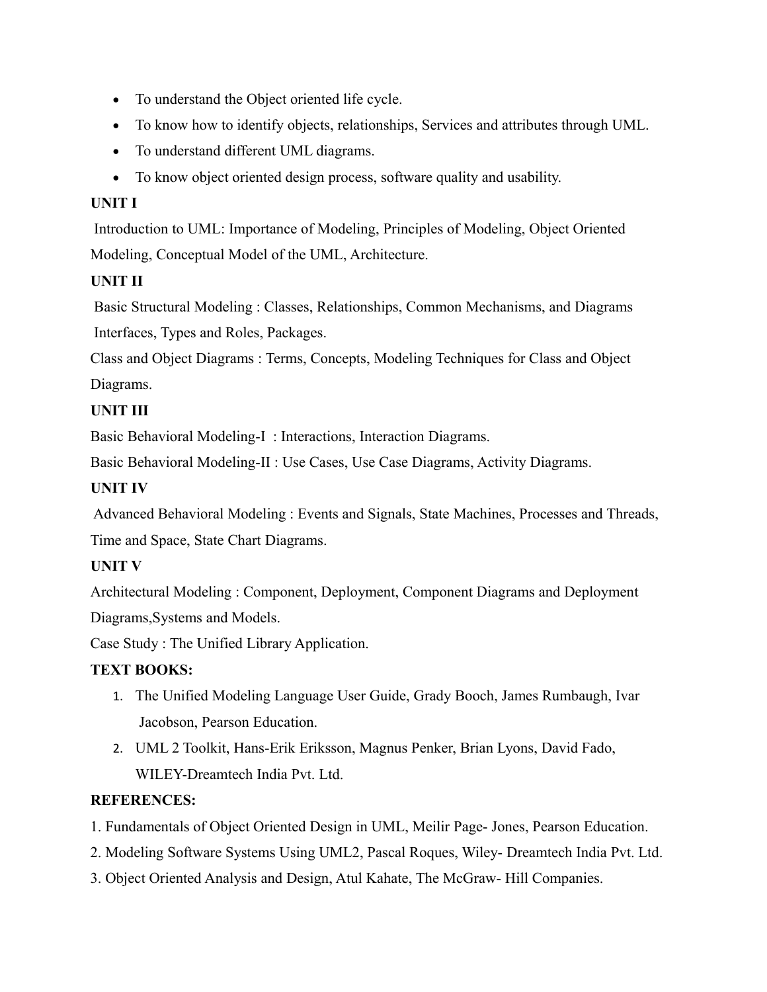- To understand the Object oriented life cycle.
- To know how to identify objects, relationships, Services and attributes through UML.
- To understand different UML diagrams.
- To know object oriented design process, software quality and usability.

# **UNIT I**

 Introduction to UML: Importance of Modeling, Principles of Modeling, Object Oriented Modeling, Conceptual Model of the UML, Architecture.

# **UNIT II**

 Basic Structural Modeling : Classes, Relationships, Common Mechanisms, and Diagrams Interfaces, Types and Roles, Packages.

Class and Object Diagrams : Terms, Concepts, Modeling Techniques for Class and Object Diagrams.

# **UNIT III**

Basic Behavioral Modeling-I : Interactions, Interaction Diagrams.

Basic Behavioral Modeling-II : Use Cases, Use Case Diagrams, Activity Diagrams.

# **UNIT IV**

 Advanced Behavioral Modeling : Events and Signals, State Machines, Processes and Threads, Time and Space, State Chart Diagrams.

# **UNIT V**

Architectural Modeling : Component, Deployment, Component Diagrams and Deployment Diagrams,Systems and Models.

Case Study : The Unified Library Application.

# **TEXT BOOKS:**

- 1. The Unified Modeling Language User Guide, Grady Booch, James Rumbaugh, Ivar Jacobson, Pearson Education.
- 2. UML 2 Toolkit, Hans-Erik Eriksson, Magnus Penker, Brian Lyons, David Fado, WILEY-Dreamtech India Pvt. Ltd.

# **REFERENCES:**

- 1. Fundamentals of Object Oriented Design in UML, Meilir Page- Jones, Pearson Education.
- 2. Modeling Software Systems Using UML2, Pascal Roques, Wiley- Dreamtech India Pvt. Ltd.
- 3. Object Oriented Analysis and Design, Atul Kahate, The McGraw- Hill Companies.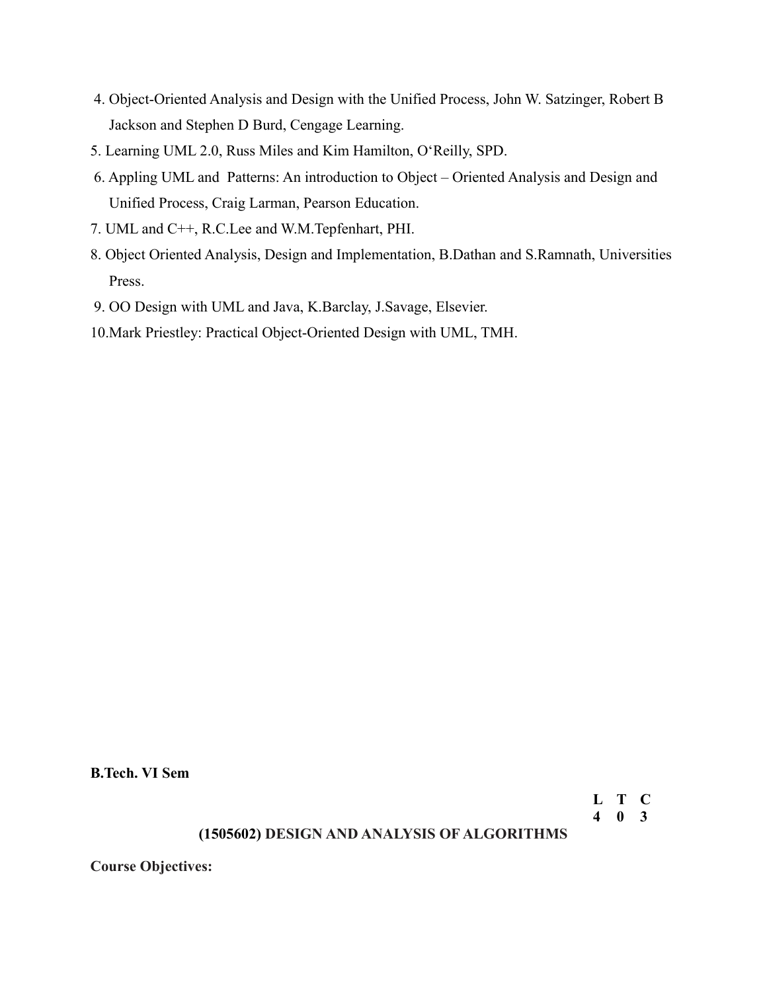- 4. Object-Oriented Analysis and Design with the Unified Process, John W. Satzinger, Robert B Jackson and Stephen D Burd, Cengage Learning.
- 5. Learning UML 2.0, Russ Miles and Kim Hamilton, O'Reilly, SPD.
- 6. Appling UML and Patterns: An introduction to Object Oriented Analysis and Design and Unified Process, Craig Larman, Pearson Education.
- 7. UML and C++, R.C.Lee and W.M.Tepfenhart, PHI.
- 8. Object Oriented Analysis, Design and Implementation, B.Dathan and S.Ramnath, Universities Press.
- 9. OO Design with UML and Java, K.Barclay, J.Savage, Elsevier.

10.Mark Priestley: Practical Object-Oriented Design with UML, TMH.

**B.Tech. VI Sem**

**L T C 4 0 3**

#### **(1505602) DESIGN AND ANALYSIS OF ALGORITHMS**

**Course Objectives:**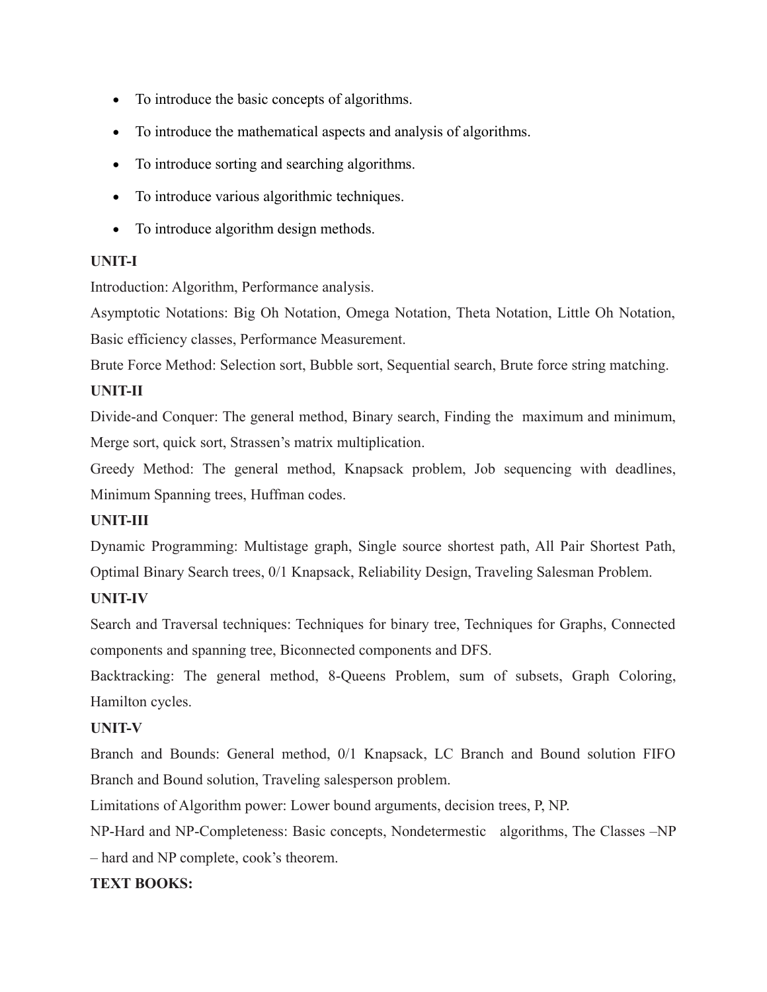- To introduce the basic concepts of algorithms.
- To introduce the mathematical aspects and analysis of algorithms.
- To introduce sorting and searching algorithms.
- To introduce various algorithmic techniques.
- To introduce algorithm design methods.

## **UNIT-I**

Introduction: Algorithm, Performance analysis.

Asymptotic Notations: Big Oh Notation, Omega Notation, Theta Notation, Little Oh Notation, Basic efficiency classes, Performance Measurement.

Brute Force Method: Selection sort, Bubble sort, Sequential search, Brute force string matching.

## **UNIT-II**

Divide-and Conquer: The general method, Binary search, Finding the maximum and minimum, Merge sort, quick sort, Strassen's matrix multiplication.

Greedy Method: The general method, Knapsack problem, Job sequencing with deadlines, Minimum Spanning trees, Huffman codes.

## **UNIT-III**

Dynamic Programming: Multistage graph, Single source shortest path, All Pair Shortest Path, Optimal Binary Search trees, 0/1 Knapsack, Reliability Design, Traveling Salesman Problem.

## **UNIT-IV**

Search and Traversal techniques: Techniques for binary tree, Techniques for Graphs, Connected components and spanning tree, Biconnected components and DFS.

Backtracking: The general method, 8-Queens Problem, sum of subsets, Graph Coloring, Hamilton cycles.

# **UNIT-V**

Branch and Bounds: General method, 0/1 Knapsack, LC Branch and Bound solution FIFO Branch and Bound solution, Traveling salesperson problem.

Limitations of Algorithm power: Lower bound arguments, decision trees, P, NP.

NP-Hard and NP-Completeness: Basic concepts, Nondetermestic algorithms, The Classes –NP – hard and NP complete, cook's theorem.

## **TEXT BOOKS:**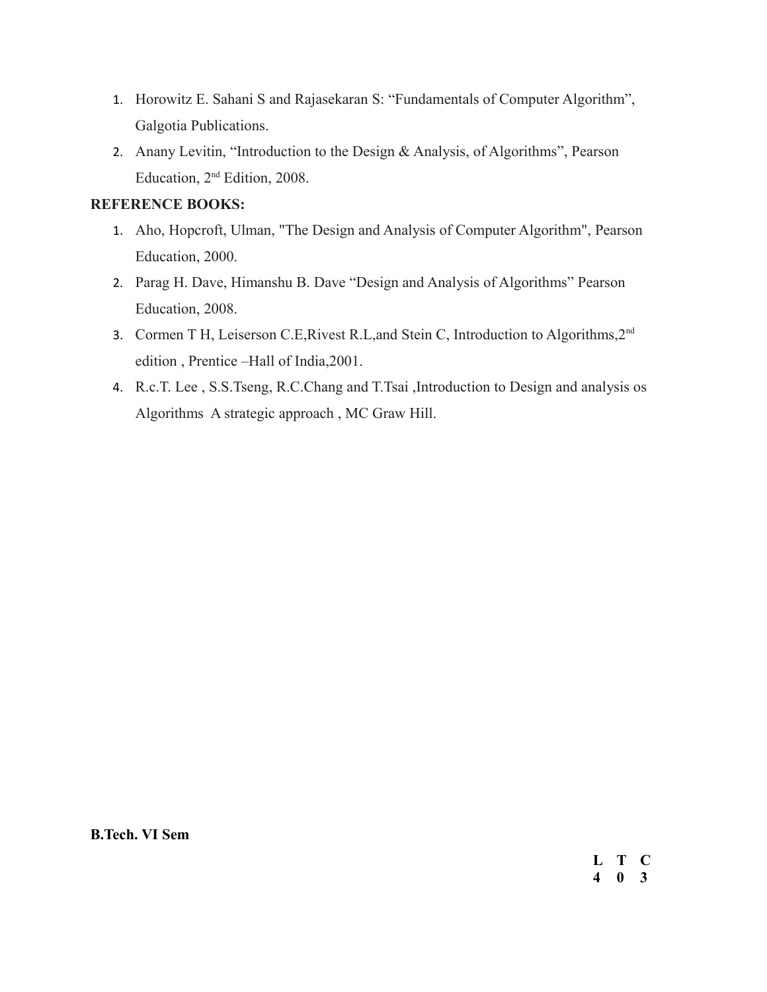- 1. Horowitz E. Sahani S and Rajasekaran S: "Fundamentals of Computer Algorithm", Galgotia Publications.
- 2. Anany Levitin, "Introduction to the Design & Analysis, of Algorithms", Pearson Education, 2nd Edition, 2008.

## **REFERENCE BOOKS:**

- 1. Aho, Hopcroft, Ulman, "The Design and Analysis of Computer Algorithm", Pearson Education, 2000.
- 2. Parag H. Dave, Himanshu B. Dave "Design and Analysis of Algorithms" Pearson Education, 2008.
- 3. Cormen T H, Leiserson C.E, Rivest R.L, and Stein C, Introduction to Algorithms, 2<sup>nd</sup> edition , Prentice –Hall of India,2001.
- 4. R.c.T. Lee , S.S.Tseng, R.C.Chang and T.Tsai ,Introduction to Design and analysis os Algorithms A strategic approach , MC Graw Hill.

**B.Tech. VI Sem**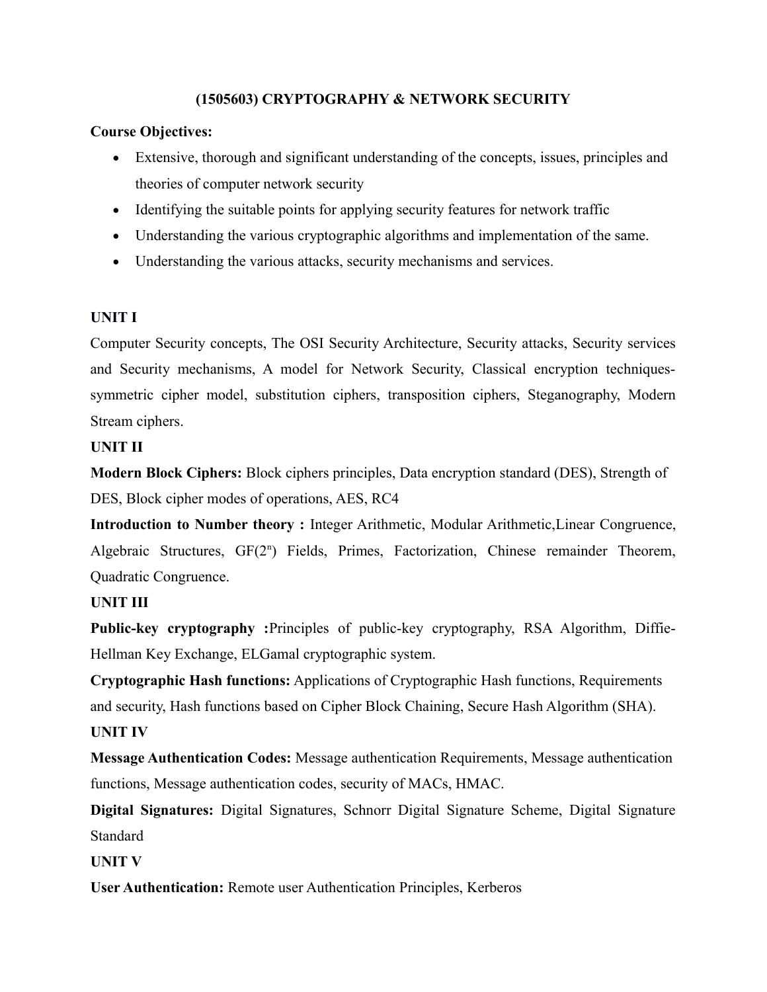## **(1505603) CRYPTOGRAPHY & NETWORK SECURITY**

## **Course Objectives:**

- Extensive, thorough and significant understanding of the concepts, issues, principles and theories of computer network security
- Identifying the suitable points for applying security features for network traffic
- Understanding the various cryptographic algorithms and implementation of the same.
- Understanding the various attacks, security mechanisms and services.

## **UNIT I**

Computer Security concepts, The OSI Security Architecture, Security attacks, Security services and Security mechanisms, A model for Network Security, Classical encryption techniquessymmetric cipher model, substitution ciphers, transposition ciphers, Steganography, Modern Stream ciphers.

## **UNIT II**

**Modern Block Ciphers:** Block ciphers principles, Data encryption standard (DES), Strength of DES, Block cipher modes of operations, AES, RC4

**Introduction to Number theory :** Integer Arithmetic, Modular Arithmetic,Linear Congruence, Algebraic Structures, GF(2<sup>n</sup>) Fields, Primes, Factorization, Chinese remainder Theorem, Quadratic Congruence.

## **UNIT III**

**Public-key cryptography :**Principles of public-key cryptography, RSA Algorithm, Diffie-Hellman Key Exchange, ELGamal cryptographic system.

**Cryptographic Hash functions:** Applications of Cryptographic Hash functions, Requirements and security, Hash functions based on Cipher Block Chaining, Secure Hash Algorithm (SHA).

## **UNIT IV**

**Message Authentication Codes:** Message authentication Requirements, Message authentication functions, Message authentication codes, security of MACs, HMAC.

**Digital Signatures:** Digital Signatures, Schnorr Digital Signature Scheme, Digital Signature **Standard** 

**UNIT V**

**User Authentication:** Remote user Authentication Principles, Kerberos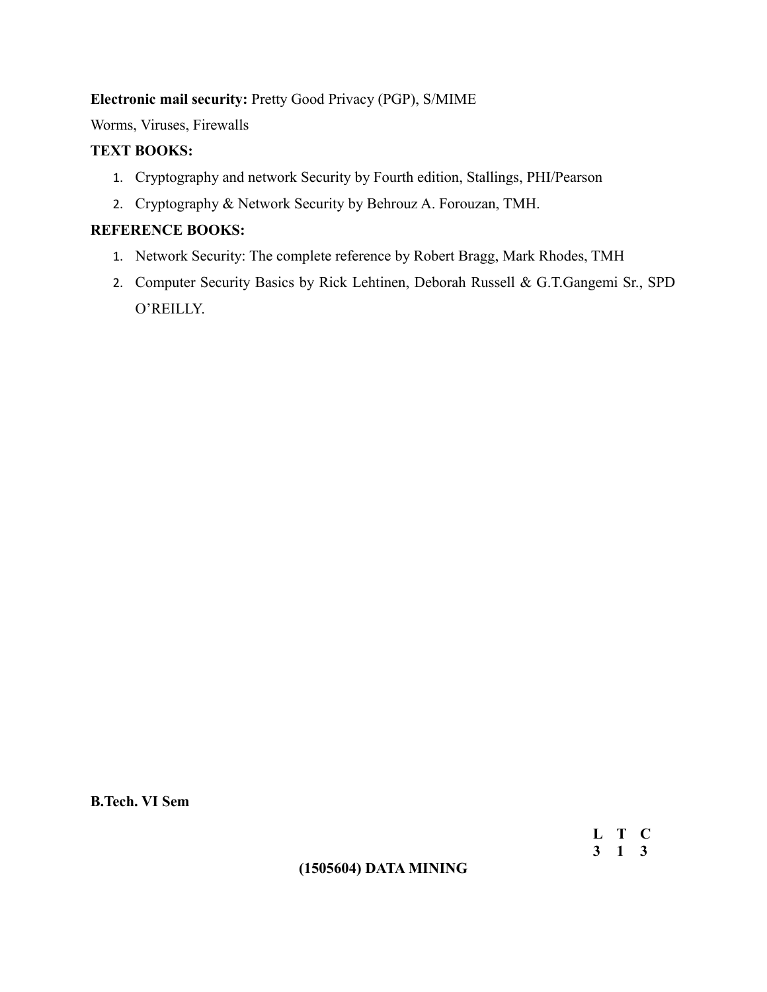## **Electronic mail security:** Pretty Good Privacy (PGP), S/MIME

Worms, Viruses, Firewalls

## **TEXT BOOKS:**

- 1. Cryptography and network Security by Fourth edition, Stallings, PHI/Pearson
- 2. Cryptography & Network Security by Behrouz A. Forouzan, TMH.

## **REFERENCE BOOKS:**

- 1. Network Security: The complete reference by Robert Bragg, Mark Rhodes, TMH
- 2. Computer Security Basics by Rick Lehtinen, Deborah Russell & G.T.Gangemi Sr., SPD O'REILLY.

**B.Tech. VI Sem**

**L T C 3 1 3**

## **(1505604) DATA MINING**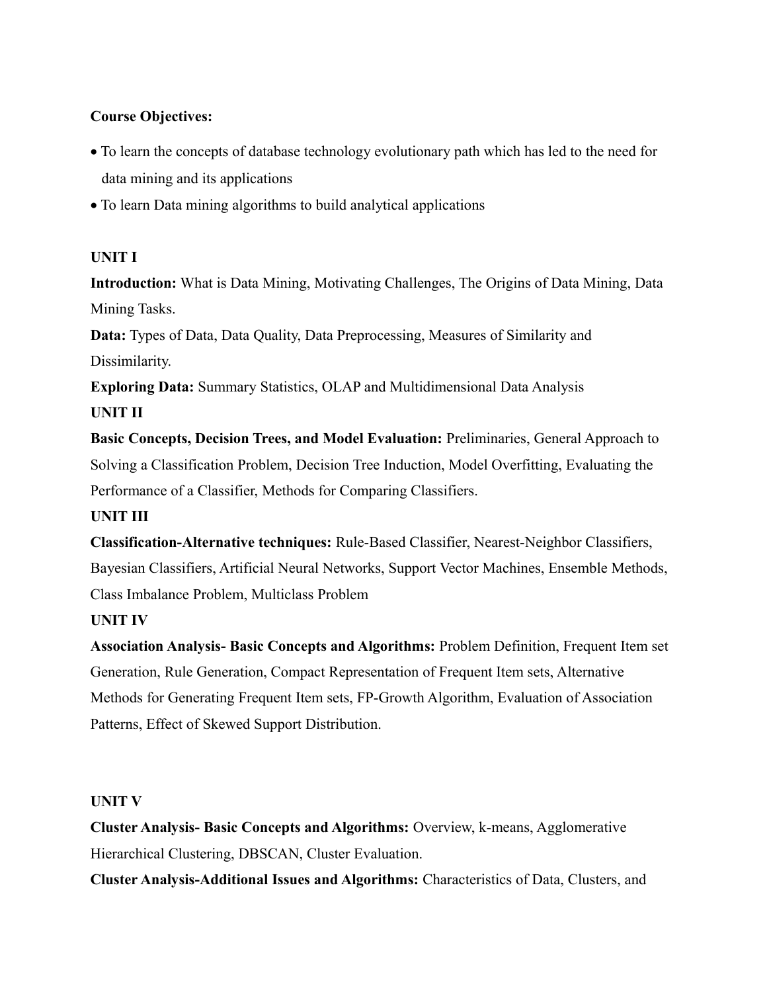## **Course Objectives:**

- To learn the concepts of database technology evolutionary path which has led to the need for data mining and its applications
- To learn Data mining algorithms to build analytical applications

## **UNIT I**

**Introduction:** What is Data Mining, Motivating Challenges, The Origins of Data Mining, Data Mining Tasks.

**Data:** Types of Data, Data Quality, Data Preprocessing, Measures of Similarity and Dissimilarity.

**Exploring Data:** Summary Statistics, OLAP and Multidimensional Data Analysis **UNIT II**

**Basic Concepts, Decision Trees, and Model Evaluation:** Preliminaries, General Approach to Solving a Classification Problem, Decision Tree Induction, Model Overfitting, Evaluating the Performance of a Classifier, Methods for Comparing Classifiers.

## **UNIT III**

**Classification-Alternative techniques:** Rule-Based Classifier, Nearest-Neighbor Classifiers, Bayesian Classifiers, Artificial Neural Networks, Support Vector Machines, Ensemble Methods, Class Imbalance Problem, Multiclass Problem

## **UNIT IV**

**Association Analysis- Basic Concepts and Algorithms:** Problem Definition, Frequent Item set Generation, Rule Generation, Compact Representation of Frequent Item sets, Alternative Methods for Generating Frequent Item sets, FP-Growth Algorithm, Evaluation of Association Patterns, Effect of Skewed Support Distribution.

## **UNIT V**

**Cluster Analysis- Basic Concepts and Algorithms:** Overview, k-means, Agglomerative Hierarchical Clustering, DBSCAN, Cluster Evaluation.

**Cluster Analysis-Additional Issues and Algorithms:** Characteristics of Data, Clusters, and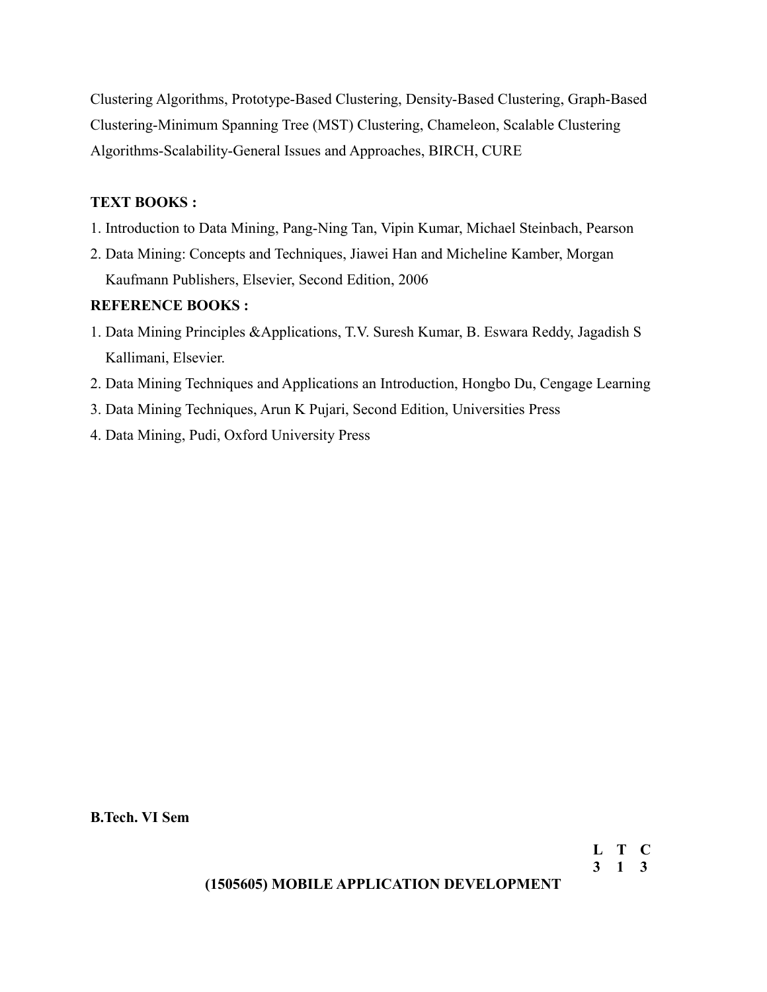Clustering Algorithms, Prototype-Based Clustering, Density-Based Clustering, Graph-Based Clustering-Minimum Spanning Tree (MST) Clustering, Chameleon, Scalable Clustering Algorithms-Scalability-General Issues and Approaches, BIRCH, CURE

## **TEXT BOOKS :**

- 1. Introduction to Data Mining, Pang-Ning Tan, Vipin Kumar, Michael Steinbach, Pearson
- 2. Data Mining: Concepts and Techniques, Jiawei Han and Micheline Kamber, Morgan Kaufmann Publishers, Elsevier, Second Edition, 2006

## **REFERENCE BOOKS :**

- 1. Data Mining Principles &Applications, T.V. Suresh Kumar, B. Eswara Reddy, Jagadish S Kallimani, Elsevier.
- 2. Data Mining Techniques and Applications an Introduction, Hongbo Du, Cengage Learning
- 3. Data Mining Techniques, Arun K Pujari, Second Edition, Universities Press
- 4. Data Mining, Pudi, Oxford University Press

**B.Tech. VI Sem**

## **(1505605) MOBILE APPLICATION DEVELOPMENT**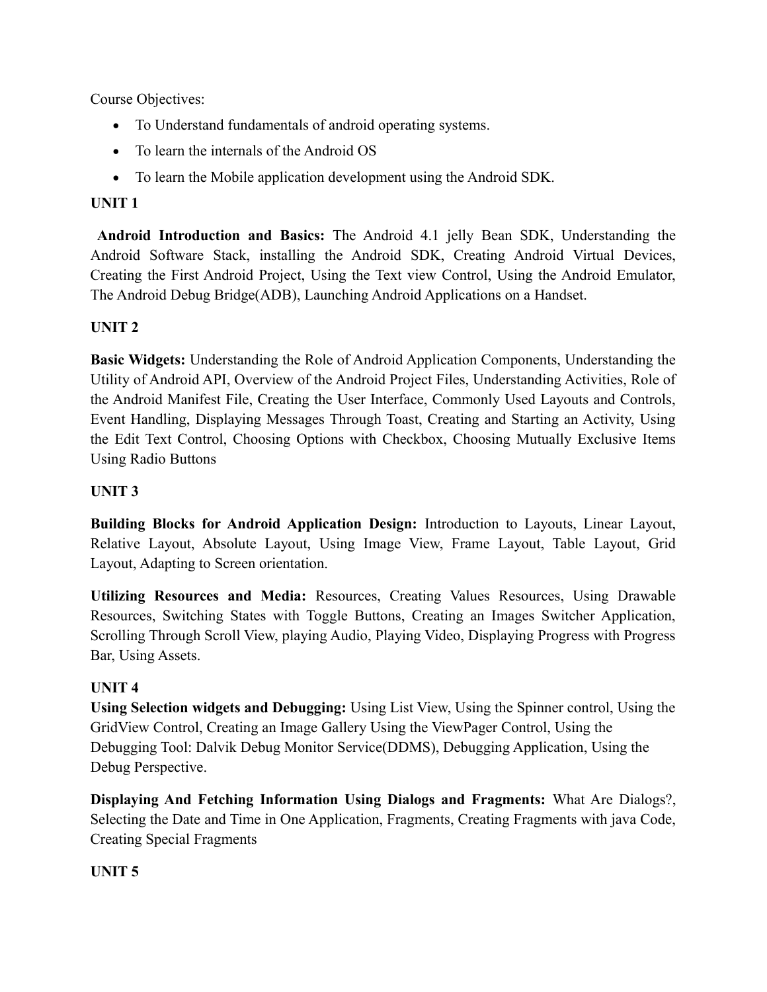Course Objectives:

- To Understand fundamentals of android operating systems.
- To learn the internals of the Android OS
- To learn the Mobile application development using the Android SDK.

## **UNIT 1**

 **Android Introduction and Basics:** The Android 4.1 jelly Bean SDK, Understanding the Android Software Stack, installing the Android SDK, Creating Android Virtual Devices, Creating the First Android Project, Using the Text view Control, Using the Android Emulator, The Android Debug Bridge(ADB), Launching Android Applications on a Handset.

## **UNIT 2**

**Basic Widgets:** Understanding the Role of Android Application Components, Understanding the Utility of Android API, Overview of the Android Project Files, Understanding Activities, Role of the Android Manifest File, Creating the User Interface, Commonly Used Layouts and Controls, Event Handling, Displaying Messages Through Toast, Creating and Starting an Activity, Using the Edit Text Control, Choosing Options with Checkbox, Choosing Mutually Exclusive Items Using Radio Buttons

## **UNIT 3**

**Building Blocks for Android Application Design:** Introduction to Layouts, Linear Layout, Relative Layout, Absolute Layout, Using Image View, Frame Layout, Table Layout, Grid Layout, Adapting to Screen orientation.

**Utilizing Resources and Media:** Resources, Creating Values Resources, Using Drawable Resources, Switching States with Toggle Buttons, Creating an Images Switcher Application, Scrolling Through Scroll View, playing Audio, Playing Video, Displaying Progress with Progress Bar, Using Assets.

## **UNIT 4**

**Using Selection widgets and Debugging:** Using List View, Using the Spinner control, Using the GridView Control, Creating an Image Gallery Using the ViewPager Control, Using the Debugging Tool: Dalvik Debug Monitor Service(DDMS), Debugging Application, Using the Debug Perspective.

**Displaying And Fetching Information Using Dialogs and Fragments:** What Are Dialogs?, Selecting the Date and Time in One Application, Fragments, Creating Fragments with java Code, Creating Special Fragments

## **UNIT 5**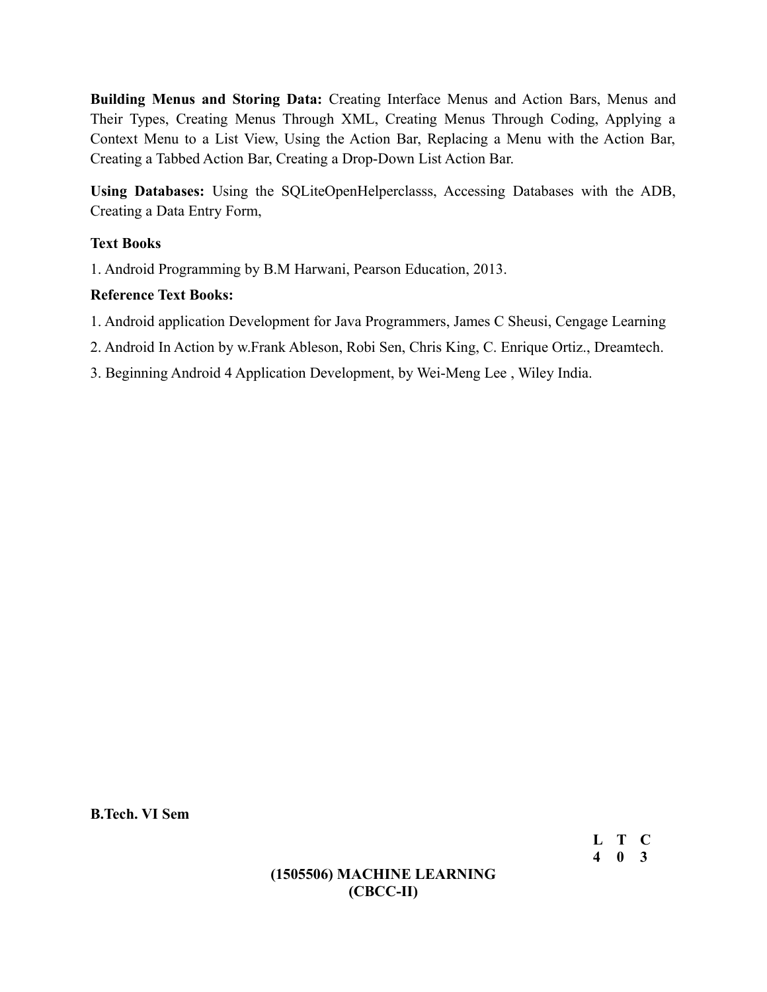**Building Menus and Storing Data:** Creating Interface Menus and Action Bars, Menus and Their Types, Creating Menus Through XML, Creating Menus Through Coding, Applying a Context Menu to a List View, Using the Action Bar, Replacing a Menu with the Action Bar, Creating a Tabbed Action Bar, Creating a Drop-Down List Action Bar.

**Using Databases:** Using the SQLiteOpenHelperclasss, Accessing Databases with the ADB, Creating a Data Entry Form,

## **Text Books**

1. Android Programming by B.M Harwani, Pearson Education, 2013.

## **Reference Text Books:**

- 1. Android application Development for Java Programmers, James C Sheusi, Cengage Learning
- 2. Android In Action by w.Frank Ableson, Robi Sen, Chris King, C. Enrique Ortiz., Dreamtech.
- 3. Beginning Android 4 Application Development, by Wei-Meng Lee , Wiley India.

**B.Tech. VI Sem**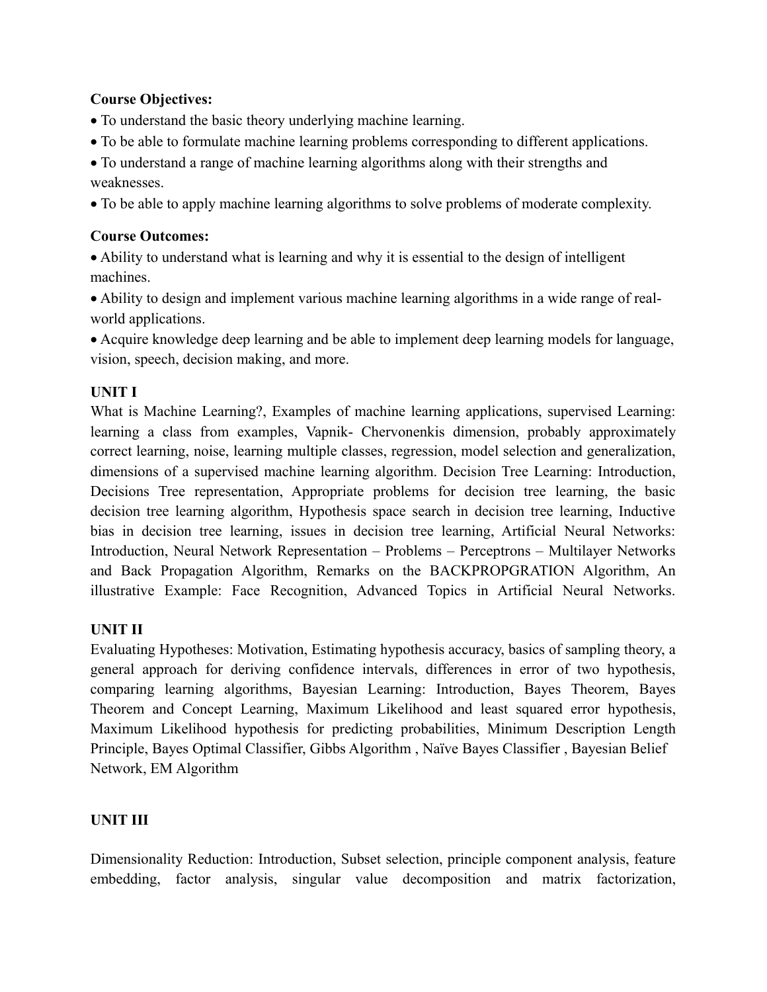## **Course Objectives:**

- To understand the basic theory underlying machine learning.
- To be able to formulate machine learning problems corresponding to different applications.
- To understand a range of machine learning algorithms along with their strengths and weaknesses.
- To be able to apply machine learning algorithms to solve problems of moderate complexity.

## **Course Outcomes:**

 Ability to understand what is learning and why it is essential to the design of intelligent machines.

 Ability to design and implement various machine learning algorithms in a wide range of realworld applications.

 Acquire knowledge deep learning and be able to implement deep learning models for language, vision, speech, decision making, and more.

## **UNIT I**

What is Machine Learning?, Examples of machine learning applications, supervised Learning: learning a class from examples, Vapnik- Chervonenkis dimension, probably approximately correct learning, noise, learning multiple classes, regression, model selection and generalization, dimensions of a supervised machine learning algorithm. Decision Tree Learning: Introduction, Decisions Tree representation, Appropriate problems for decision tree learning, the basic decision tree learning algorithm, Hypothesis space search in decision tree learning, Inductive bias in decision tree learning, issues in decision tree learning, Artificial Neural Networks: Introduction, Neural Network Representation – Problems – Perceptrons – Multilayer Networks and Back Propagation Algorithm, Remarks on the BACKPROPGRATION Algorithm, An illustrative Example: Face Recognition, Advanced Topics in Artificial Neural Networks.

## **UNIT II**

Evaluating Hypotheses: Motivation, Estimating hypothesis accuracy, basics of sampling theory, a general approach for deriving confidence intervals, differences in error of two hypothesis, comparing learning algorithms, Bayesian Learning: Introduction, Bayes Theorem, Bayes Theorem and Concept Learning, Maximum Likelihood and least squared error hypothesis, Maximum Likelihood hypothesis for predicting probabilities, Minimum Description Length Principle, Bayes Optimal Classifier, Gibbs Algorithm , Naïve Bayes Classifier , Bayesian Belief Network, EM Algorithm

## **UNIT III**

Dimensionality Reduction: Introduction, Subset selection, principle component analysis, feature embedding, factor analysis, singular value decomposition and matrix factorization,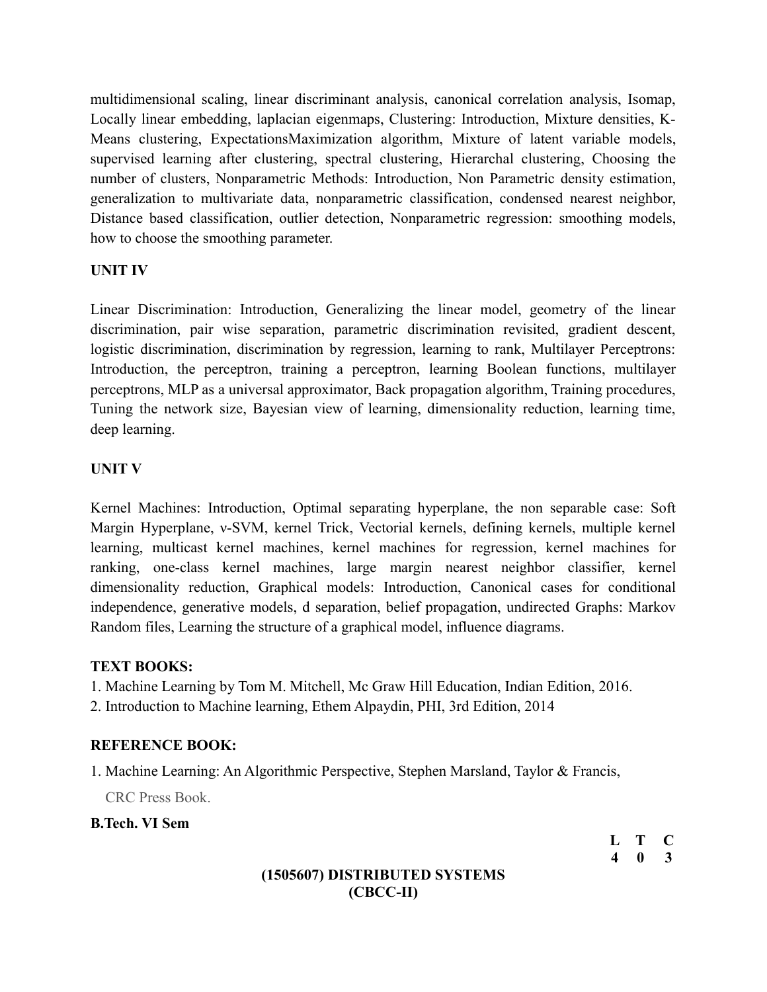multidimensional scaling, linear discriminant analysis, canonical correlation analysis, Isomap, Locally linear embedding, laplacian eigenmaps, Clustering: Introduction, Mixture densities, K-Means clustering, ExpectationsMaximization algorithm, Mixture of latent variable models, supervised learning after clustering, spectral clustering, Hierarchal clustering, Choosing the number of clusters, Nonparametric Methods: Introduction, Non Parametric density estimation, generalization to multivariate data, nonparametric classification, condensed nearest neighbor, Distance based classification, outlier detection, Nonparametric regression: smoothing models, how to choose the smoothing parameter.

## **UNIT IV**

Linear Discrimination: Introduction, Generalizing the linear model, geometry of the linear discrimination, pair wise separation, parametric discrimination revisited, gradient descent, logistic discrimination, discrimination by regression, learning to rank, Multilayer Perceptrons: Introduction, the perceptron, training a perceptron, learning Boolean functions, multilayer perceptrons, MLP as a universal approximator, Back propagation algorithm, Training procedures, Tuning the network size, Bayesian view of learning, dimensionality reduction, learning time, deep learning.

## **UNIT V**

Kernel Machines: Introduction, Optimal separating hyperplane, the non separable case: Soft Margin Hyperplane, ν-SVM, kernel Trick, Vectorial kernels, defining kernels, multiple kernel learning, multicast kernel machines, kernel machines for regression, kernel machines for ranking, one-class kernel machines, large margin nearest neighbor classifier, kernel dimensionality reduction, Graphical models: Introduction, Canonical cases for conditional independence, generative models, d separation, belief propagation, undirected Graphs: Markov Random files, Learning the structure of a graphical model, influence diagrams.

## **TEXT BOOKS:**

1. Machine Learning by Tom M. Mitchell, Mc Graw Hill Education, Indian Edition, 2016.

2. Introduction to Machine learning, Ethem Alpaydin, PHI, 3rd Edition, 2014

## **REFERENCE BOOK:**

1. Machine Learning: An Algorithmic Perspective, Stephen Marsland, Taylor & Francis,

CRC Press Book.

**B.Tech. VI Sem** 

**L T C 4 0 3**

## **(1505607) DISTRIBUTED SYSTEMS (CBCC-II)**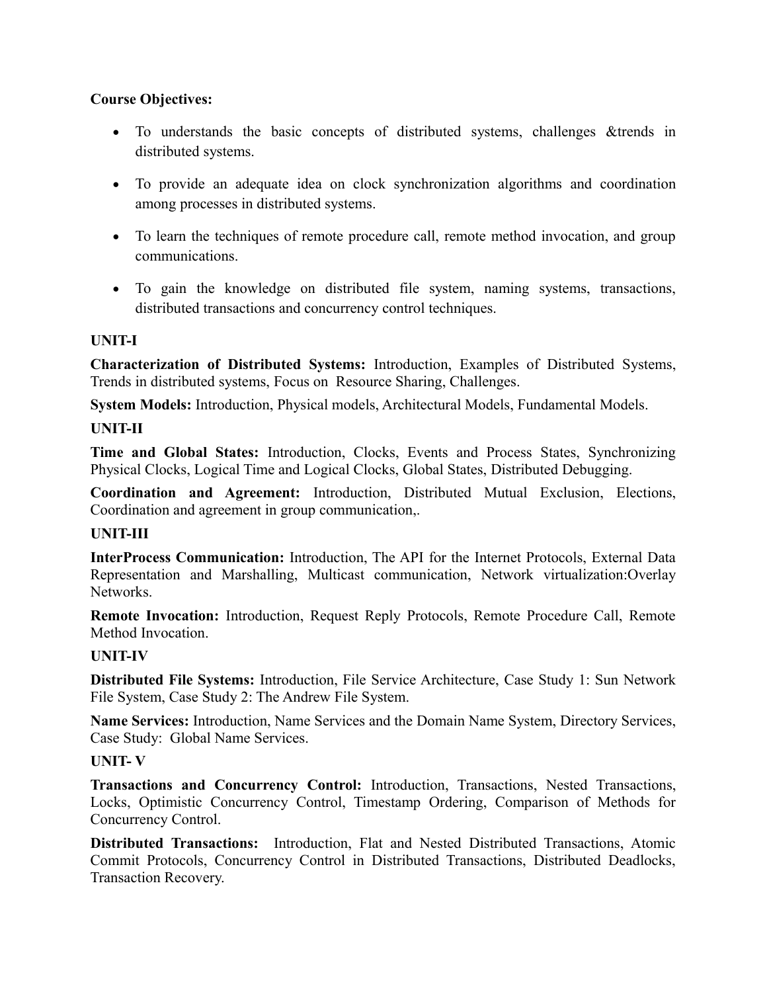## **Course Objectives:**

- To understands the basic concepts of distributed systems, challenges &trends in distributed systems.
- To provide an adequate idea on clock synchronization algorithms and coordination among processes in distributed systems.
- To learn the techniques of remote procedure call, remote method invocation, and group communications.
- To gain the knowledge on distributed file system, naming systems, transactions, distributed transactions and concurrency control techniques.

## **UNIT-I**

**Characterization of Distributed Systems:** Introduction, Examples of Distributed Systems, Trends in distributed systems, Focus on Resource Sharing, Challenges.

**System Models:** Introduction, Physical models, Architectural Models, Fundamental Models.

## **UNIT-II**

**Time and Global States:** Introduction, Clocks, Events and Process States, Synchronizing Physical Clocks, Logical Time and Logical Clocks, Global States, Distributed Debugging.

**Coordination and Agreement:** Introduction, Distributed Mutual Exclusion, Elections, Coordination and agreement in group communication,.

## **UNIT-III**

**InterProcess Communication:** Introduction, The API for the Internet Protocols, External Data Representation and Marshalling, Multicast communication, Network virtualization:Overlay Networks.

**Remote Invocation:** Introduction, Request Reply Protocols, Remote Procedure Call, Remote Method Invocation.

## **UNIT-IV**

**Distributed File Systems:** Introduction, File Service Architecture, Case Study 1: Sun Network File System, Case Study 2: The Andrew File System.

**Name Services:** Introduction, Name Services and the Domain Name System, Directory Services, Case Study: Global Name Services.

## **UNIT- V**

**Transactions and Concurrency Control:** Introduction, Transactions, Nested Transactions, Locks, Optimistic Concurrency Control, Timestamp Ordering, Comparison of Methods for Concurrency Control.

**Distributed Transactions:** Introduction, Flat and Nested Distributed Transactions, Atomic Commit Protocols, Concurrency Control in Distributed Transactions, Distributed Deadlocks, Transaction Recovery.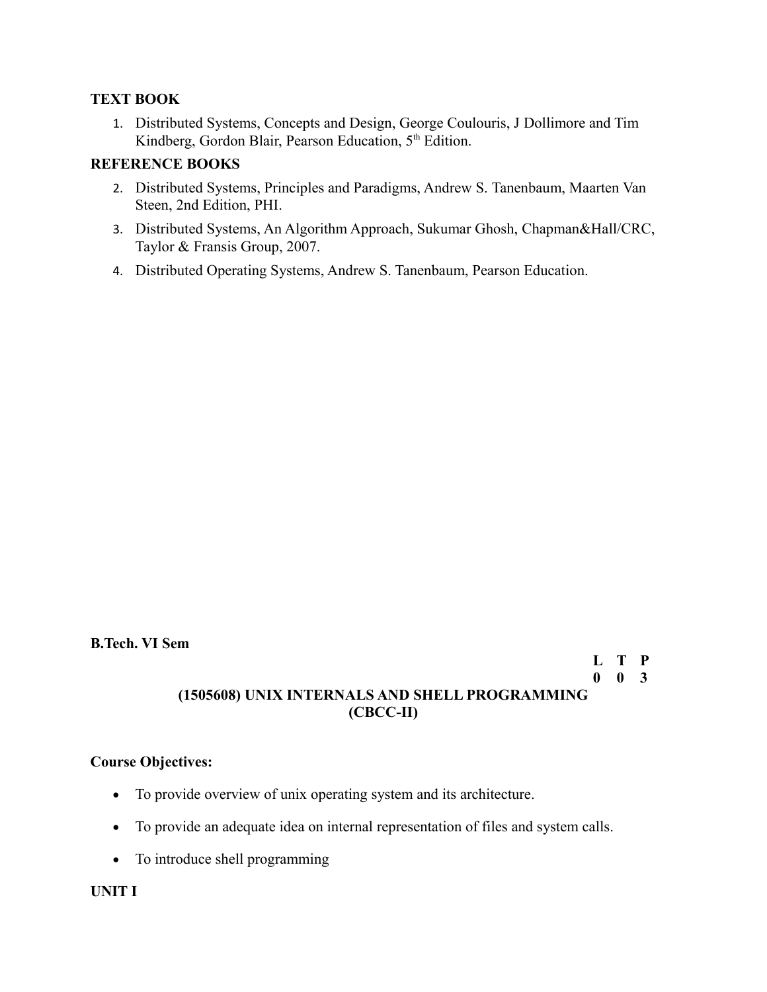## **TEXT BOOK**

1. Distributed Systems, Concepts and Design, George Coulouris, J Dollimore and Tim Kindberg, Gordon Blair, Pearson Education, 5<sup>th</sup> Edition.

## **REFERENCE BOOKS**

- 2. Distributed Systems, Principles and Paradigms, Andrew S. Tanenbaum, Maarten Van Steen, 2nd Edition, PHI.
- 3. Distributed Systems, An Algorithm Approach, Sukumar Ghosh, Chapman&Hall/CRC, Taylor & Fransis Group, 2007.
- 4. Distributed Operating Systems, Andrew S. Tanenbaum, Pearson Education.

### **B.Tech. VI Sem**

# **L T P 0 0 3**

# **(1505608) UNIX INTERNALS AND SHELL PROGRAMMING (CBCC-II)**

## **Course Objectives:**

- To provide overview of unix operating system and its architecture.
- To provide an adequate idea on internal representation of files and system calls.
- To introduce shell programming

## **UNIT I**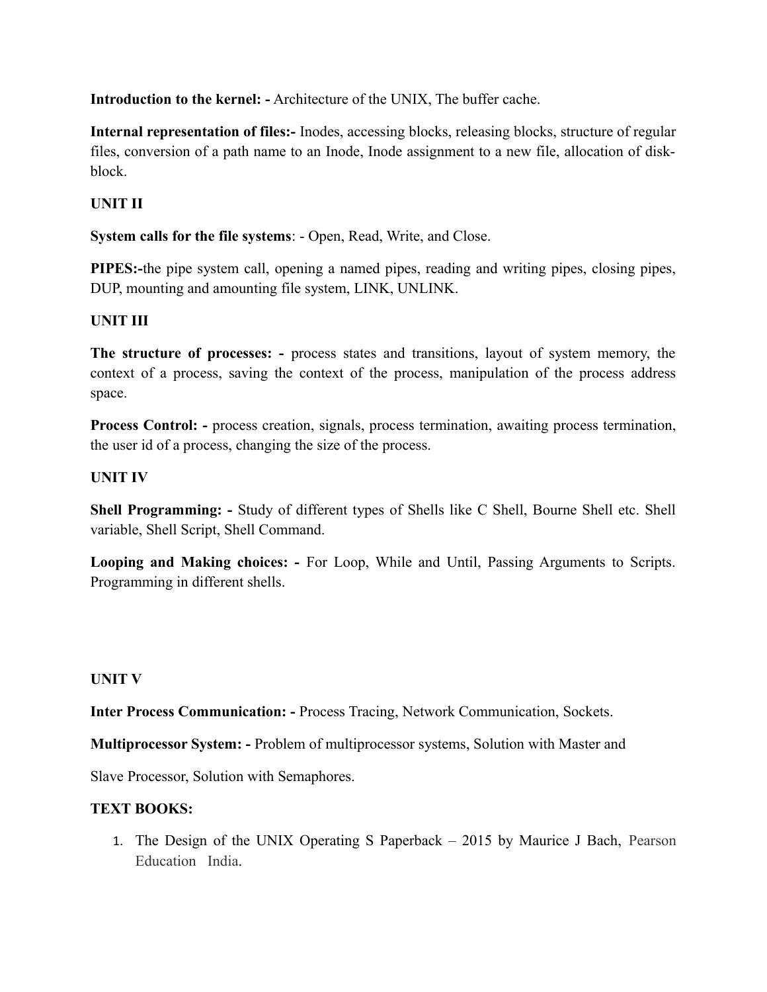**Introduction to the kernel: -** Architecture of the UNIX, The buffer cache.

**Internal representation of files:-** Inodes, accessing blocks, releasing blocks, structure of regular files, conversion of a path name to an Inode, Inode assignment to a new file, allocation of diskblock.

## **UNIT II**

**System calls for the file systems**: - Open, Read, Write, and Close.

**PIPES:-**the pipe system call, opening a named pipes, reading and writing pipes, closing pipes, DUP, mounting and amounting file system, LINK, UNLINK.

## **UNIT III**

**The structure of processes: -** process states and transitions, layout of system memory, the context of a process, saving the context of the process, manipulation of the process address space.

**Process Control: -** process creation, signals, process termination, awaiting process termination, the user id of a process, changing the size of the process.

## **UNIT IV**

**Shell Programming: -** Study of different types of Shells like C Shell, Bourne Shell etc. Shell variable, Shell Script, Shell Command.

**Looping and Making choices: -** For Loop, While and Until, Passing Arguments to Scripts. Programming in different shells.

## **UNIT V**

**Inter Process Communication: -** Process Tracing, Network Communication, Sockets.

**Multiprocessor System: -** Problem of multiprocessor systems, Solution with Master and

Slave Processor, Solution with Semaphores.

## **TEXT BOOKS:**

1. The Design of the UNIX Operating S Paperback – 2015 by Maurice J Bach, Pearson Education India.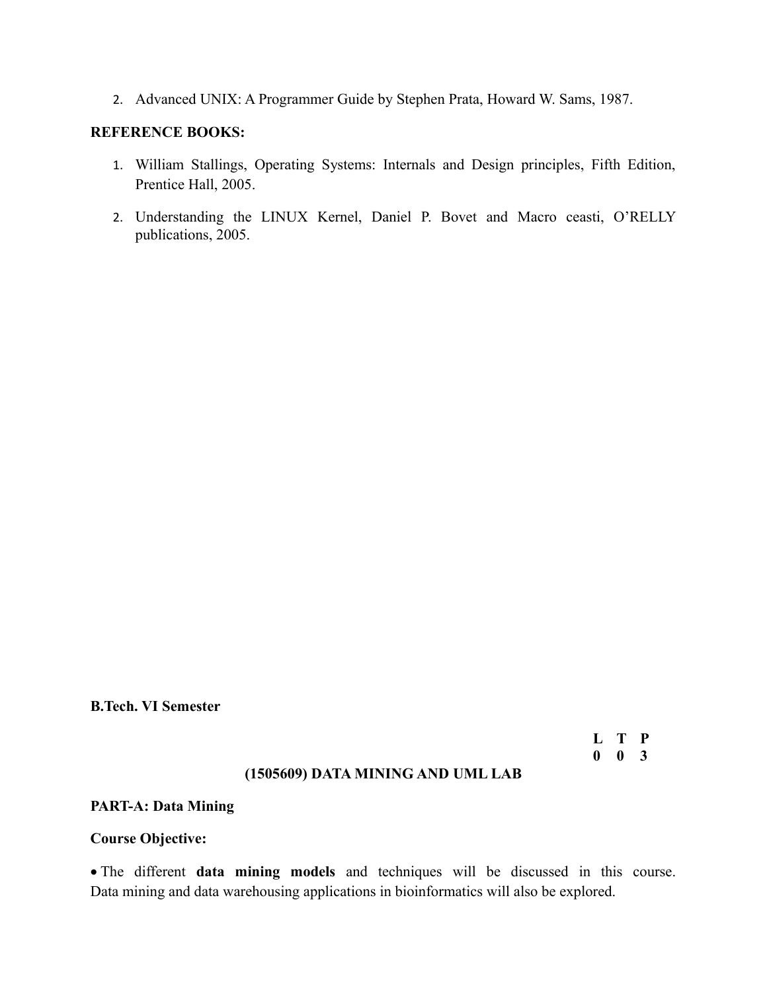2. Advanced UNIX: A Programmer Guide by Stephen Prata, Howard W. Sams, 1987.

## **REFERENCE BOOKS:**

- 1. William Stallings, Operating Systems: Internals and Design principles, Fifth Edition, Prentice Hall, 2005.
- 2. Understanding the LINUX Kernel, Daniel P. Bovet and Macro ceasti, O'RELLY publications, 2005.

**B.Tech. VI Semester**

**L T P 0 0 3**

#### **(1505609) DATA MINING AND UML LAB**

#### **PART-A: Data Mining**

## **Course Objective:**

 The different **data mining models** and techniques will be discussed in this course. Data mining and data warehousing applications in bioinformatics will also be explored.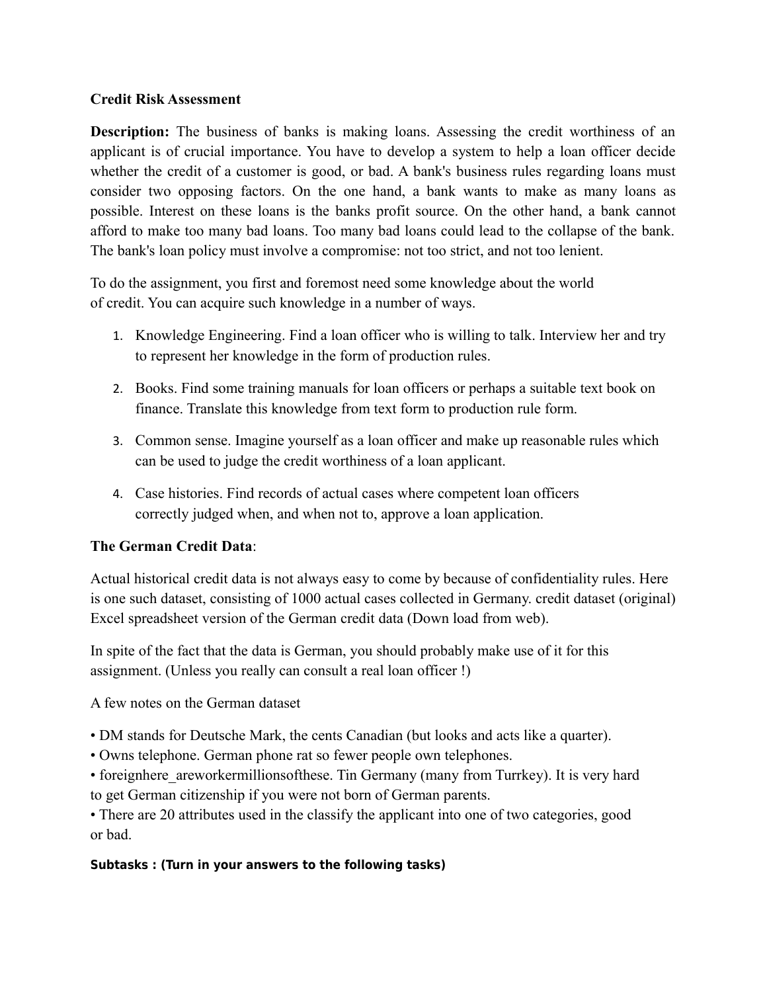## **Credit Risk Assessment**

**Description:** The business of banks is making loans. Assessing the credit worthiness of an applicant is of crucial importance. You have to develop a system to help a loan officer decide whether the credit of a customer is good, or bad. A bank's business rules regarding loans must consider two opposing factors. On the one hand, a bank wants to make as many loans as possible. Interest on these loans is the banks profit source. On the other hand, a bank cannot afford to make too many bad loans. Too many bad loans could lead to the collapse of the bank. The bank's loan policy must involve a compromise: not too strict, and not too lenient.

To do the assignment, you first and foremost need some knowledge about the world of credit. You can acquire such knowledge in a number of ways.

- 1. Knowledge Engineering. Find a loan officer who is willing to talk. Interview her and try to represent her knowledge in the form of production rules.
- 2. Books. Find some training manuals for loan officers or perhaps a suitable text book on finance. Translate this knowledge from text form to production rule form.
- 3. Common sense. Imagine yourself as a loan officer and make up reasonable rules which can be used to judge the credit worthiness of a loan applicant.
- 4. Case histories. Find records of actual cases where competent loan officers correctly judged when, and when not to, approve a loan application.

## **The German Credit Data**:

Actual historical credit data is not always easy to come by because of confidentiality rules. Here is one such dataset, consisting of 1000 actual cases collected in Germany. credit dataset (original) Excel spreadsheet version of the German credit data (Down load from web).

In spite of the fact that the data is German, you should probably make use of it for this assignment. (Unless you really can consult a real loan officer !)

A few notes on the German dataset

- DM stands for Deutsche Mark, the cents Canadian (but looks and acts like a quarter).
- Owns telephone. German phone rat so fewer people own telephones.
- foreignhere areworkermillionsofthese. Tin Germany (many from Turrkey). It is very hard to get German citizenship if you were not born of German parents.

• There are 20 attributes used in the classify the applicant into one of two categories, good or bad.

## **Subtasks : (Turn in your answers to the following tasks)**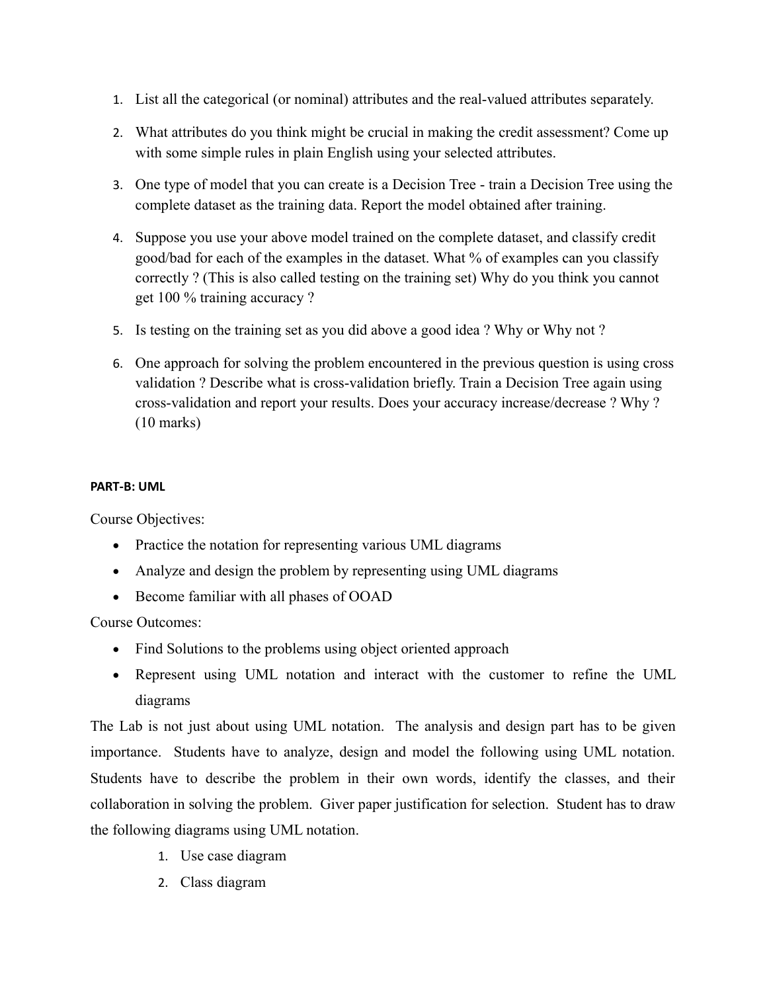- 1. List all the categorical (or nominal) attributes and the real-valued attributes separately.
- 2. What attributes do you think might be crucial in making the credit assessment? Come up with some simple rules in plain English using your selected attributes.
- 3. One type of model that you can create is a Decision Tree train a Decision Tree using the complete dataset as the training data. Report the model obtained after training.
- 4. Suppose you use your above model trained on the complete dataset, and classify credit good/bad for each of the examples in the dataset. What % of examples can you classify correctly ? (This is also called testing on the training set) Why do you think you cannot get 100 % training accuracy ?
- 5. Is testing on the training set as you did above a good idea ? Why or Why not ?
- 6. One approach for solving the problem encountered in the previous question is using cross validation ? Describe what is cross-validation briefly. Train a Decision Tree again using cross-validation and report your results. Does your accuracy increase/decrease ? Why ? (10 marks)

#### **PART-B: UML**

Course Objectives:

- Practice the notation for representing various UML diagrams
- Analyze and design the problem by representing using UML diagrams
- Become familiar with all phases of OOAD

Course Outcomes:

- Find Solutions to the problems using object oriented approach
- Represent using UML notation and interact with the customer to refine the UML diagrams

The Lab is not just about using UML notation. The analysis and design part has to be given importance. Students have to analyze, design and model the following using UML notation. Students have to describe the problem in their own words, identify the classes, and their collaboration in solving the problem. Giver paper justification for selection. Student has to draw the following diagrams using UML notation.

- 1. Use case diagram
- 2. Class diagram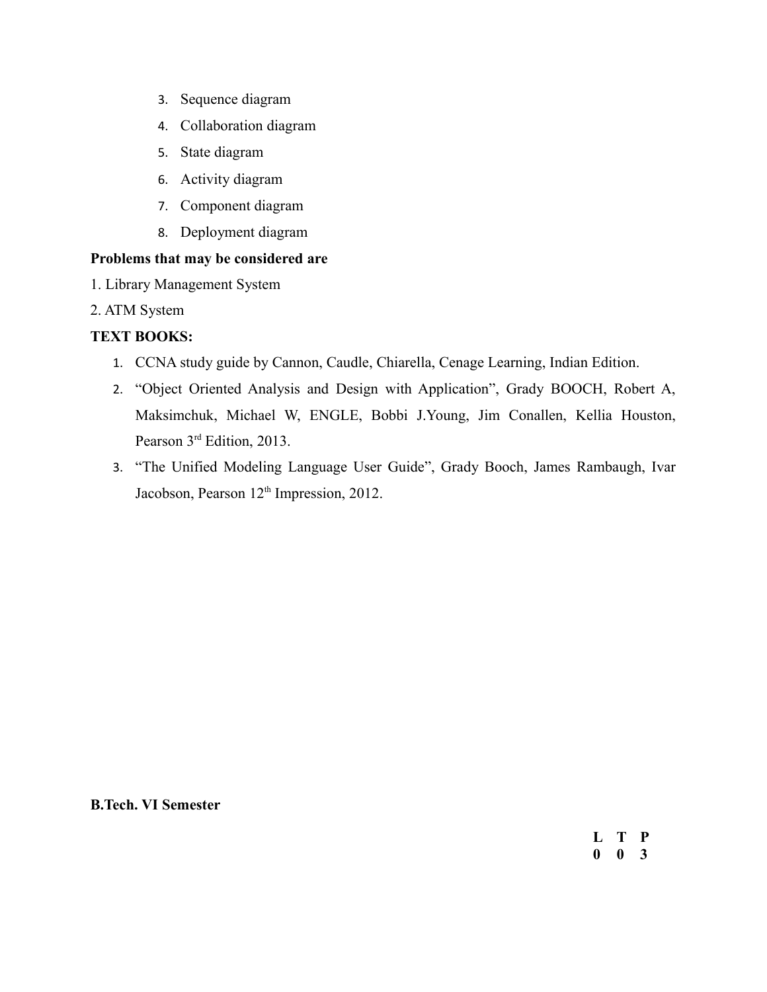- 3. Sequence diagram
- 4. Collaboration diagram
- 5. State diagram
- 6. Activity diagram
- 7. Component diagram
- 8. Deployment diagram

## **Problems that may be considered are**

- 1. Library Management System
- 2. ATM System

## **TEXT BOOKS:**

- 1. CCNA study guide by Cannon, Caudle, Chiarella, Cenage Learning, Indian Edition.
- 2. "Object Oriented Analysis and Design with Application", Grady BOOCH, Robert A, Maksimchuk, Michael W, ENGLE, Bobbi J.Young, Jim Conallen, Kellia Houston, Pearson 3<sup>rd</sup> Edition, 2013.
- 3. "The Unified Modeling Language User Guide", Grady Booch, James Rambaugh, Ivar Jacobson, Pearson 12<sup>th</sup> Impression, 2012.

**B.Tech. VI Semester**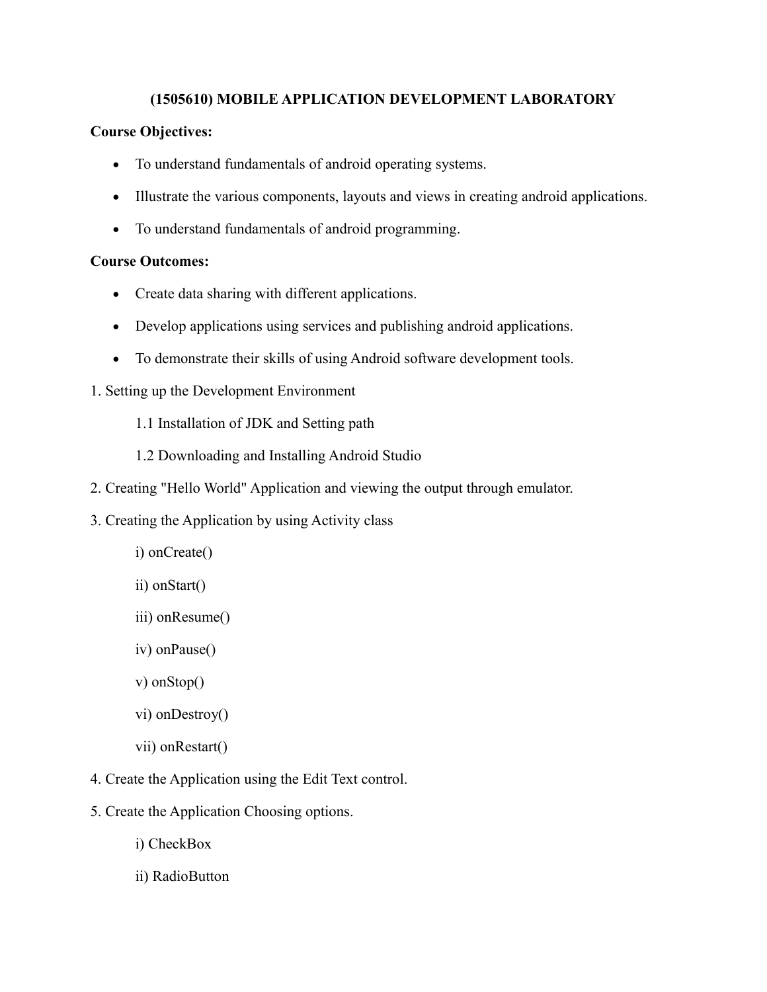## **(1505610) MOBILE APPLICATION DEVELOPMENT LABORATORY**

## **Course Objectives:**

- To understand fundamentals of android operating systems.
- Illustrate the various components, layouts and views in creating android applications.
- To understand fundamentals of android programming.

## **Course Outcomes:**

- Create data sharing with different applications.
- Develop applications using services and publishing android applications.
- To demonstrate their skills of using Android software development tools.
- 1. Setting up the Development Environment
	- 1.1 Installation of JDK and Setting path
	- 1.2 Downloading and Installing Android Studio
- 2. Creating "Hello World" Application and viewing the output through emulator.
- 3. Creating the Application by using Activity class
	- i) onCreate()
	- ii) onStart()
	- iii) onResume()
	- iv) onPause()
	- v) onStop()
	- vi) onDestroy()
	- vii) onRestart()
- 4. Create the Application using the Edit Text control.
- 5. Create the Application Choosing options.
	- i) CheckBox
	- ii) RadioButton